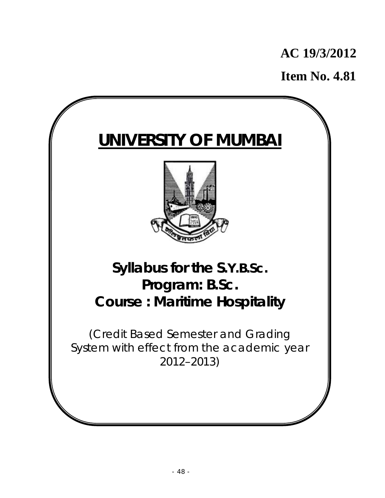# **AC 19/3/2012**

**Item No. 4.81**

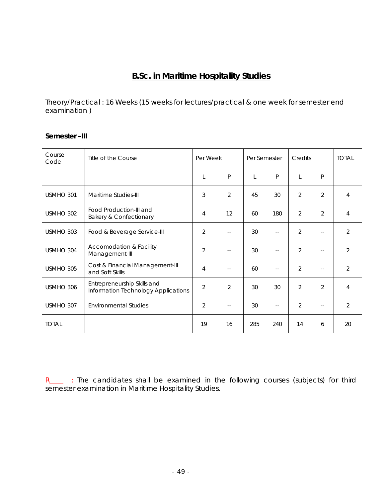# **B.Sc. in Maritime Hospitality Studies**

Theory/Practical : 16 Weeks (15 weeks for lectures/practical & one week for semester end examination )

### **Semester –III**

| Course<br>Code | Title of the Course                                                | Per Week       |                | Per Semester |               | Credits        |                | <b>TOTAL</b>   |
|----------------|--------------------------------------------------------------------|----------------|----------------|--------------|---------------|----------------|----------------|----------------|
|                |                                                                    | L              | P              | L            | P             | L              | P              |                |
| USMHO 301      | Maritime Studies-III                                               | 3              | $\overline{2}$ | 45           | 30            | $\overline{2}$ | $\overline{2}$ | 4              |
| USMHO 302      | Food Production-III and<br><b>Bakery &amp; Confectionary</b>       | 4              | 12             | 60           | 180           | $\overline{2}$ | $\overline{2}$ | 4              |
| USMHO 303      | Food & Beverage Service-III                                        | $\overline{2}$ | $-$            | 30           | $\sim$        | $\overline{2}$ | $\overline{a}$ | $\overline{2}$ |
| USMHO 304      | Accomodation & Facility<br>Management-III                          | $\overline{2}$ | $\overline{a}$ | 30           | $\sim$ $\sim$ | $\overline{2}$ | $-$            | $\overline{2}$ |
| USMHO 305      | Cost & Financial Management-III<br>and Soft Skills                 | $\overline{4}$ | $-$            | 60           | $\sim$ $-$    | $\overline{2}$ | $-$            | $\overline{2}$ |
| USMHO 306      | Entrepreneurship Skills and<br>Information Technology Applications | $\overline{2}$ | $\overline{2}$ | 30           | 30            | $\overline{2}$ | $\overline{2}$ | 4              |
| USMHO 307      | <b>Environmental Studies</b>                                       | $\overline{2}$ | $\sim$ $-$     | 30           | $\sim$ $-$    | $\overline{2}$ | $-$            | $\overline{2}$ |
| <b>TOTAL</b>   |                                                                    | 19             | 16             | 285          | 240           | 14             | 6              | 20             |

R\_\_\_ : The candidates shall be examined in the following courses (subjects) for third semester examination in Maritime Hospitality Studies.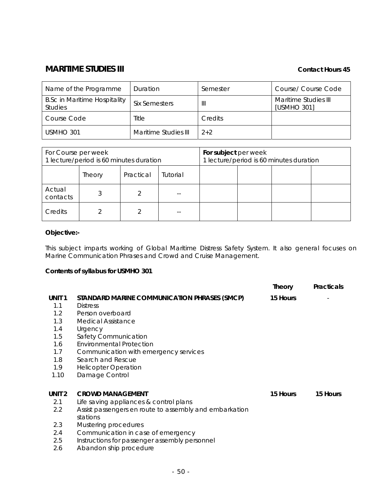# **MARITIME STUDIES III MARITIME** STUDIES III

| Name of the Programme                                 | Duration             | Semester       | Course/ Course Code                 |
|-------------------------------------------------------|----------------------|----------------|-------------------------------------|
| <b>B.Sc in Maritime Hospitality</b><br><b>Studies</b> | <b>Six Semesters</b> | Ш              | Maritime Studies III<br>[USMHO 301] |
| Course Code                                           | Title                | <b>Credits</b> |                                     |
| USMHO 301                                             | Maritime Studies III | $2 + 2$        |                                     |

| For Course per week<br>1 lecture/period is 60 minutes duration |        |           | For subject per week | 1 lecture/period is 60 minutes duration |  |  |
|----------------------------------------------------------------|--------|-----------|----------------------|-----------------------------------------|--|--|
|                                                                | Theory | Practical | Tutorial             |                                         |  |  |
| Actual<br>contacts                                             |        |           |                      |                                         |  |  |
| Credits                                                        |        |           |                      |                                         |  |  |

### **Objective:-**

This subject imparts working of Global Maritime Distress Safety System. It also general focuses on Marine Communication Phrases and Crowd and Cruise Management.

### **Contents of syllabus for USMHO 301**

|                   |                                                        | Theory   | Practicals |
|-------------------|--------------------------------------------------------|----------|------------|
| UNIT <sub>1</sub> | STANDARD MARINE COMMUNICATION PHRASES (SMCP)           | 15 Hours |            |
| 1.1               | <b>Distress</b>                                        |          |            |
| 1.2               | Person overboard                                       |          |            |
| 1.3               | Medical Assistance                                     |          |            |
| 1.4               | Urgency                                                |          |            |
| 1.5               | Safety Communication                                   |          |            |
| 1.6               | Environmental Protection                               |          |            |
| 1.7               | Communication with emergency services                  |          |            |
| 1.8               | Search and Rescue                                      |          |            |
| 1.9               | <b>Helicopter Operation</b>                            |          |            |
| 1.10              | Damage Control                                         |          |            |
|                   |                                                        |          |            |
| UNIT <sub>2</sub> | <b>CROWD MANAGEMENT</b>                                | 15 Hours | 15 Hours   |
| 2.1               | Life saving appliances & control plans                 |          |            |
| 2.2               | Assist passengers en route to assembly and embarkation |          |            |
|                   | stations                                               |          |            |
| 2.3               | Mustering procedures                                   |          |            |
| 2.4               | Communication in case of emergency                     |          |            |
| 2.5               | Instructions for passenger assembly personnel          |          |            |

2.6 Abandon ship procedure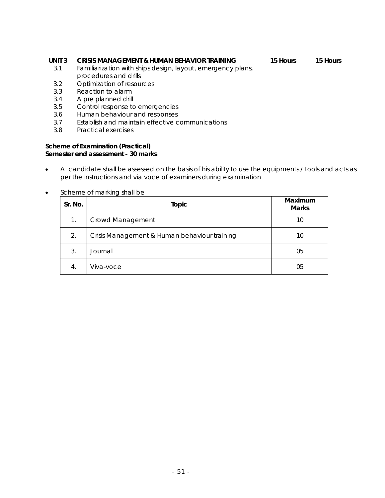#### **UNIT 3 CRISIS MANAGEMENT & HUMAN BEHAVIOR TRAINING**

#### **15 Hours 15 Hours**

- 3.1 Familiarization with ships design, layout, emergency plans, procedures and drills
- 3.2 Optimization of resources
- 3.3 Reaction to alarm
- 3.4 A pre planned drill
- 3.5 Control response to emergencies
- 3.6 Human behaviour and responses
- 3.7 Establish and maintain effective communications
- 3.8 Practical exercises

#### **Scheme of Examination (Practical) Semester end assessment - 30 marks**

- A candidate shall be assessed on the basis of his ability to use the equipments / tools and acts as per the instructions and via voce of examiners during examination
- Scheme of marking shall be

| Sr. No. | Topic                                        | Maximum<br><b>Marks</b> |
|---------|----------------------------------------------|-------------------------|
| 1.      | Crowd Management                             | 10                      |
| 2.      | Crisis Management & Human behaviour training | 10                      |
| 3.      | Journal                                      | 05                      |
| 4.      | Viva-voce                                    | 05                      |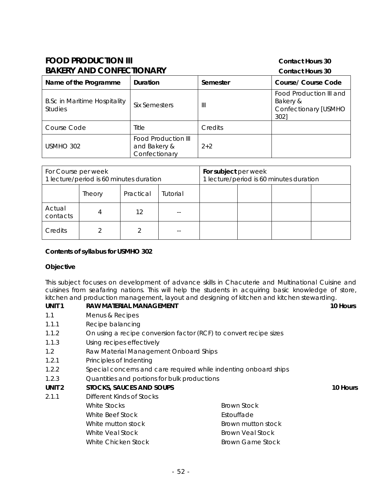### **FOOD PRODUCTION III CONDUCTION III CONTACT CONTACT EXAMPLE 20 BAKERY AND CONFECTIONARY** Contact Hours 30

| <b>DANERT AIND CONFECTIONART</b>                      |                                                             | Contact Hours 30 |                                                                     |
|-------------------------------------------------------|-------------------------------------------------------------|------------------|---------------------------------------------------------------------|
| Name of the Programme                                 | <b>Duration</b>                                             | Semester         | Course/ Course Code                                                 |
| <b>B.Sc in Maritime Hospitality</b><br><b>Studies</b> | Six Semesters                                               | Ш                | Food Production III and<br>Bakery &<br>Confectionary [USMHO<br>302] |
| Course Code                                           | Title                                                       | Credits          |                                                                     |
| USMHO 302                                             | <b>Food Production III</b><br>and Bakery &<br>Confectionary | $2+2$            |                                                                     |

| For Course per week<br>1 lecture/period is 60 minutes duration |        |           | For subject per week | 1 lecture/period is 60 minutes duration |  |  |
|----------------------------------------------------------------|--------|-----------|----------------------|-----------------------------------------|--|--|
|                                                                | Theory | Practical | Tutorial             |                                         |  |  |
| Actual<br>contacts                                             |        | 12        |                      |                                         |  |  |
| Credits                                                        |        |           |                      |                                         |  |  |

#### **Contents of syllabus for USMHO 302**

#### **Objective**

This subject focuses on development of advance skills in Chacuterie and Multinational Cuisine and cuisines from seafaring nations. This will help the students in acquiring basic knowledge of store, kitchen and production management, layout and designing of kitchen and kitchen stewarding.

| UNIT <sub>1</sub> | RAW MATERIAL MANAGEMENT                                           |                                                                  | 10 Hours |
|-------------------|-------------------------------------------------------------------|------------------------------------------------------------------|----------|
| 1.1               | Menus & Recipes                                                   |                                                                  |          |
| 1.1.1             | Recipe balancing                                                  |                                                                  |          |
| 1.1.2             | On using a recipe conversion factor (RCF) to convert recipe sizes |                                                                  |          |
| 1.1.3             | Using recipes effectively                                         |                                                                  |          |
| 1.2               | Raw Material Management Onboard Ships                             |                                                                  |          |
| 1.2.1             | Principles of Indenting                                           |                                                                  |          |
| 1.2.2             |                                                                   | Special concerns and care required while indenting onboard ships |          |
| 1.2.3             | Quantities and portions for bulk productions                      |                                                                  |          |
| UNIT <sub>2</sub> | <b>STOCKS, SAUCES AND SOUPS</b>                                   |                                                                  | 10 Hours |
| 2.1.1             | Different Kinds of Stocks                                         |                                                                  |          |
|                   | White Stocks                                                      | Brown Stock                                                      |          |
|                   | White Beef Stock                                                  | Estouffade                                                       |          |
|                   | White mutton stock                                                | Brown mutton stock                                               |          |
|                   | White Veal Stock                                                  | Brown Veal Stock                                                 |          |
|                   | White Chicken Stock                                               | <b>Brown Game Stock</b>                                          |          |
|                   |                                                                   |                                                                  |          |
|                   |                                                                   |                                                                  |          |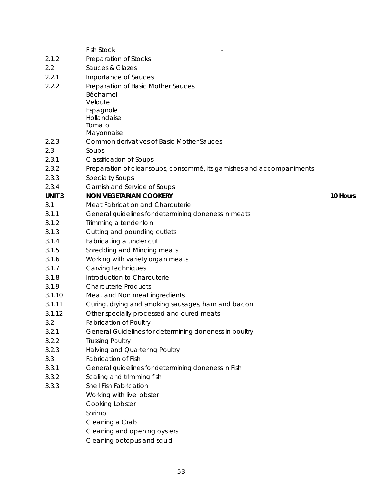|              | <b>Fish Stock</b>                                                      |          |
|--------------|------------------------------------------------------------------------|----------|
| 2.1.2        | Preparation of Stocks                                                  |          |
| 2.2          | Sauces & Glazes                                                        |          |
| 2.2.1        | Importance of Sauces                                                   |          |
| 2.2.2        | Preparation of Basic Mother Sauces                                     |          |
|              | Béchamel                                                               |          |
|              | Veloute                                                                |          |
|              | Espagnole                                                              |          |
|              | Hollandaise                                                            |          |
|              | Tomato<br>Mayonnaise                                                   |          |
| 2.2.3        | Common derivatives of Basic Mother Sauces                              |          |
| 2.3          | Soups                                                                  |          |
| 2.3.1        | <b>Classification of Soups</b>                                         |          |
| 2.3.2        | Preparation of clear soups, consommé, its garnishes and accompaniments |          |
| 2.3.3        | <b>Specialty Soups</b>                                                 |          |
| 2.3.4        | Garnish and Service of Soups                                           |          |
| <b>UNIT3</b> | <b>NON VEGETARIAN COOKERY</b>                                          | 10 Hours |
| 3.1          | Meat Fabrication and Charcuterie                                       |          |
| 3.1.1        | General guidelines for determining doneness in meats                   |          |
| 3.1.2        | Trimming a tender loin                                                 |          |
| 3.1.3        | Cutting and pounding cutlets                                           |          |
| 3.1.4        | Fabricating a under cut                                                |          |
| 3.1.5        | Shredding and Mincing meats                                            |          |
| 3.1.6        | Working with variety organ meats                                       |          |
| 3.1.7        | Carving techniques                                                     |          |
| 3.1.8        | Introduction to Charcuterie                                            |          |
| 3.1.9        | <b>Charcuterie Products</b>                                            |          |
| 3.1.10       | Meat and Non meat ingredients                                          |          |
| 3.1.11       | Curing, drying and smoking sausages, ham and bacon                     |          |
| 3.1.12       | Other specially processed and cured meats                              |          |
| 3.2          | <b>Fabrication of Poultry</b>                                          |          |
| 3.2.1        | General Guidelines for determining doneness in poultry                 |          |
| 3.2.2        | <b>Trussing Poultry</b>                                                |          |
| 3.2.3        | Halving and Quartering Poultry                                         |          |
| 3.3          | <b>Fabrication of Fish</b>                                             |          |
| 3.3.1        | General guidelines for determining doneness in Fish                    |          |
| 3.3.2        | Scaling and trimming fish                                              |          |
| 3.3.3        | Shell Fish Fabrication                                                 |          |
|              | Working with live lobster                                              |          |
|              | Cooking Lobster                                                        |          |
|              | Shrimp                                                                 |          |
|              | Cleaning a Crab                                                        |          |
|              | Cleaning and opening oysters                                           |          |
|              | Cleaning octopus and squid                                             |          |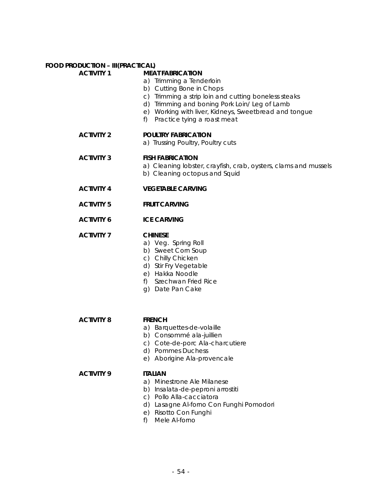#### **FOOD PRODUCTION – III(PRACTICAL) ACTIVITY 1**

| <b>MEAT FABRICATION</b> |  |
|-------------------------|--|

- a) Trimming a Tenderloin
- b) Cutting Bone in Chops
- c) Trimming a strip loin and cutting boneless steaks
- d) Trimming and boning Pork Loin/ Leg of Lamb
- e) Working with liver, Kidneys, Sweetbread and tongue
- f) Practice tying a roast meat

#### **ACTIVITY 2 POULTRY FABRICATION**

a) Trussing Poultry, Poultry cuts

#### **ACTIVITY 3 FISH FABRICATION**

- a) Cleaning lobster, crayfish, crab, oysters, clams and mussels b) Cleaning octopus and Squid
- 

### **ACTIVITY 4 VEGETABLE CARVING**

**ACTIVITY 5 FRUIT CARVING** 

#### **ACTIVITY 6 ICE CARVING**

#### **ACTIVITY 7 CHINESE**

- a) Veg. Spring Roll
- b) Sweet Corn Soup
- c) Chilly Chicken
- d) Stir Fry Vegetable
- e) Hakka Noodle
- f) Szechwan Fried Rice
- g) Date Pan Cake

#### **ACTIVITY 8 FRENCH**

- a) Barquettes-de-volaille
- b) Consommé ala-juillien
- c) Cote-de-porc Ala-charcutiere
- d) Pommes Duchess
- e) Aborigine Ala-provencale

#### **ACTIVITY 9 ITALIAN**

#### a) Minestrone Ale Milanese

- b) Insalata-de-peproni arrostiti
- c) Pollo Alla-cacciatora
- d) Lasagne Al-forno Con Funghi Pomodori
- e) Risotto Con Funghi
- f) Mele Al-forno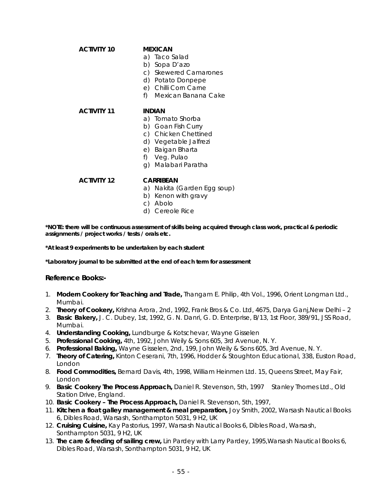| AUINIT IV          | <b>IVIEAIUAIV</b>         |
|--------------------|---------------------------|
|                    | a) Taco Salad             |
|                    | Sopa D'azo<br>b)          |
|                    | c) Skewered Camarones     |
|                    | d) Potato Donpepe         |
|                    | e) Chilli Corn Carne      |
|                    | f)<br>Mexican Banana Cake |
| <b>ACTIVITY 11</b> | INDIAN                    |
|                    | a) Tomato Shorba          |
|                    | b) Goan Fish Curry        |
|                    | c) Chicken Chettined      |
|                    | d) Vegetable Jalfrezi     |
|                    | e) Baigan Bharta          |
|                    | f) Veg. Pulao             |
|                    | Malabari Paratha<br>G)    |
| <b>ACTIVITY 12</b> | CARRIBEAN                 |

- a) Nakita (Garden Egg soup)
- b) Kenon with gravy
- c) Abolo
- d) Cereole Rice

**\*NOTE: there will be continuous assessment of skills being acquired through class work, practical & periodic assignments / project works / tests / orals etc.** 

**\*At least 9 experiments to be undertaken by each student** 

**ACTIVITY 10 MEXICAN** 

**\*Laboratory journal to be submitted at the end of each term for assessment** 

#### **Reference Books:-**

- 1. **Modern Cookery for Teaching and Trade,** Thangam E. Philip, 4th Vol., 1996, Orient Longman Ltd., Mumbai.
- 2. **Theory of Cookery,** Krishna Arora, 2nd, 1992, Frank Bros & Co. Ltd, 4675, Darya Ganj,New Delhi 2
- 3. **Basic Bakery,** J. C. Dubey, 1st, 1992, G. N. Danri, G. D. Enterprise, B/13, 1st Floor, 389/91, JSS Road, Mumbai.
- 4. **Understanding Cooking,** Lundburge & Kotschevar, Wayne Gisselen
- 5. **Professional Cooking,** 4th, 1992, John Weily & Sons 605, 3rd Avenue, N. Y.
- 6. **Professional Baking,** Wayne Gisselen, 2nd, 199, John Weily & Sons 605, 3rd Avenue, N. Y.
- 7. **Theory of Catering,** Kinton Ceserani, 7th, 1996, Hodder & Stoughton Educational, 338, Euston Road, London
- 8. **Food Commodities,** Bernard Davis, 4th, 1998, William Heinmen Ltd. 15, Queens Street, May Fair, London
- 9. **Basic Cookery The Process Approach,** Daniel R. Stevenson, 5th, 1997 Stanley Thornes Ltd., Old Station Drive, England.
- 10. **Basic Cookery The Process Approach,** Daniel R. Stevenson, 5th, 1997,
- 11. **Kitchen a float galley management & meal preparation,** Joy Smith, 2002, Warsash Nautical Books 6, Dibles Road, Warsash, Sonthampton 5031, 9 H2, UK
- 12. **Cruising Cuisine,** Kay Pastorius, 1997, Warsash Nautical Books 6, Dibles Road, Warsash, Sonthampton 5031, 9 H2, UK
- 13. **The care & feeding of sailing crew,** Lin Pardey with Larry Pardey, 1995,Warsash Nautical Books 6, Dibles Road, Warsash, Sonthampton 5031, 9 H2, UK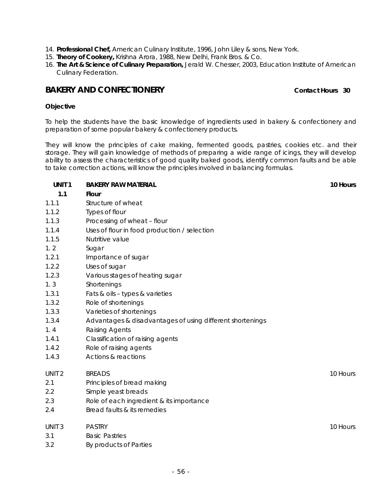- 14. **Professional Chef,** American Culinary Institute, 1996, John Liley & sons, New York.
- 15. **Theory of Cookery,** Krishna Arora, 1988, New Delhi, Frank Bros. & Co.
- 16. **The Art & Science of Culinary Preparation,** Jerald W. Chesser, 2003, Education Institute of American Culinary Federation.

### **BAKERY AND CONFECTIONERY CONFECTIONERY CONFECTIONERY**

#### **Objective**

To help the students have the basic knowledge of ingredients used in bakery & confectionery and preparation of some popular bakery & confectionery products.

They will know the principles of cake making, fermented goods, pastries, cookies etc. and their storage. They will gain knowledge of methods of preparing a wide range of icings, they will develop ability to assess the characteristics of good quality baked goods, identify common faults and be able to take correction actions, will know the principles involved in balancing formulas.

| UNIT <sub>1</sub> | <b>BAKERY RAW MATERIAL</b>                                | 10 Hours |
|-------------------|-----------------------------------------------------------|----------|
| 1.1               | <b>Flour</b>                                              |          |
| 1.1.1             | Structure of wheat                                        |          |
| 1.1.2             | Types of flour                                            |          |
| 1.1.3             | Processing of wheat - flour                               |          |
| 1.1.4             | Uses of flour in food production / selection              |          |
| 1.1.5             | Nutritive value                                           |          |
| 1.2               | Sugar                                                     |          |
| 1.2.1             | Importance of sugar                                       |          |
| 1.2.2             | Uses of sugar                                             |          |
| 1.2.3             | Various stages of heating sugar                           |          |
| 1.3               | Shortenings                                               |          |
| 1.3.1             | Fats & oils - types & varieties                           |          |
| 1.3.2             | Role of shortenings                                       |          |
| 1.3.3             | Varieties of shortenings                                  |          |
| 1.3.4             | Advantages & disadvantages of using different shortenings |          |
| 1.4               | Raising Agents                                            |          |
| 1.4.1             | Classification of raising agents                          |          |
| 1.4.2             | Role of raising agents                                    |          |
| 1.4.3             | Actions & reactions                                       |          |
| UNIT <sub>2</sub> | <b>BREADS</b>                                             | 10 Hours |
| 2.1               | Principles of bread making                                |          |
| 2.2               | Simple yeast breads                                       |          |
| 2.3               | Role of each ingredient & its importance                  |          |
| 2.4               | Bread faults & its remedies                               |          |
| UNIT <sub>3</sub> | <b>PASTRY</b>                                             | 10 Hours |
| 3.1               | <b>Basic Pastries</b>                                     |          |
| 3.2               | By products of Parties                                    |          |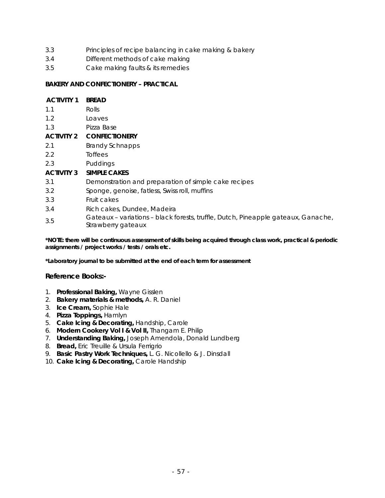- 3.3 Principles of recipe balancing in cake making & bakery
- 3.4 Different methods of cake making
- 3.5 Cake making faults & its remedies

#### **BAKERY AND CONFECTIONERY – PRACTICAL**

| <b>ACTIVITY 1</b> | <b>BREAD</b>                                                                                            |
|-------------------|---------------------------------------------------------------------------------------------------------|
| 1.1               | <b>Rolls</b>                                                                                            |
| 1.2               | Loaves                                                                                                  |
| 1.3               | Pizza Base                                                                                              |
| <b>ACTIVITY 2</b> | <b>CONFECTIONERY</b>                                                                                    |
| 2.1               | <b>Brandy Schnapps</b>                                                                                  |
| 2.2               | Toffees                                                                                                 |
| 2.3               | Puddings                                                                                                |
| <b>ACTIVITY 3</b> | <b>SIMPLE CAKES</b>                                                                                     |
| 3.1               | Demonstration and preparation of simple cake recipes                                                    |
| 3.2               | Sponge, genoise, fatless, Swiss roll, muffins                                                           |
| 3.3               | Fruit cakes                                                                                             |
| 3.4               | Rich cakes, Dundee, Madeira                                                                             |
| 3.5               | Gateaux - variations - black forests, truffle, Dutch, Pineapple gateaux, Ganache,<br>Strawberry gateaux |

**\*NOTE: there will be continuous assessment of skills being acquired through class work, practical & periodic assignments / project works / tests / orals etc.** 

**\*Laboratory journal to be submitted at the end of each term for assessment**

#### **Reference Books:-**

- 1. **Professional Baking,** Wayne Gisslen
- 2. **Bakery materials & methods,** A. R. Daniel
- 3. **Ice Cream,** Sophie Hale
- 4. **Pizza Toppings,** Hamlyn
- 5. **Cake Icing & Decorating,** Handship, Carole
- 6. **Modern Cookery Vol I & Vol II,** Thangam E. Philip
- 7. **Understanding Baking,** Joseph Amendola, Donald Lundberg
- 8. **Bread,** Eric Treuille & Ursula Ferrigrio
- 9. **Basic Pastry Work Techniques,** L. G. Nicollello & J. Dinsdall
- 10. **Cake Icing & Decorating,** Carole Handship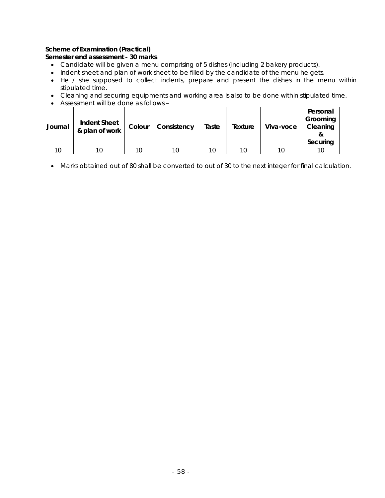#### **Scheme of Examination (Practical)**

#### **Semester end assessment - 30 marks**

- Candidate will be given a menu comprising of 5 dishes (including 2 bakery products).
- Indent sheet and plan of work sheet to be filled by the candidate of the menu he gets.
- He / she supposed to collect indents, prepare and present the dishes in the menu within stipulated time.
- Cleaning and securing equipments and working area is also to be done within stipulated time.
- Assessment will be done as follows –

| Journal | <b>Indent Sheet</b><br>& plan of work | Colour | Consistency | Taste | Texture | Viva-voce | Personal<br>Grooming<br>Cleaning<br>Securing |
|---------|---------------------------------------|--------|-------------|-------|---------|-----------|----------------------------------------------|
| 10      | 10                                    | 10     |             | 10    | 10      | 10        |                                              |

• Marks obtained out of 80 shall be converted to out of 30 to the next integer for final calculation.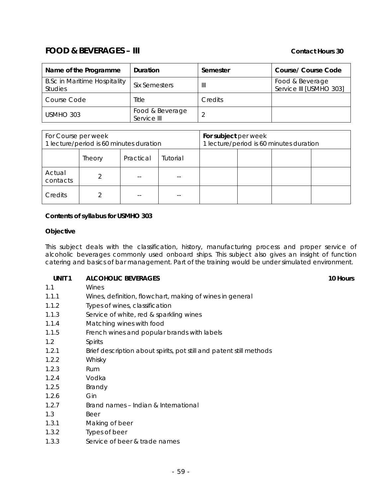# **FOOD & BEVERAGES – III CONTACT CONTACT AND REVERAGES** – III

| Name of the Programme                                 | Duration                       | Semester       | Course/ Course Code                        |
|-------------------------------------------------------|--------------------------------|----------------|--------------------------------------------|
| <b>B.Sc in Maritime Hospitality</b><br><b>Studies</b> | Six Semesters                  | Ш              | Food & Beverage<br>Service III [USMHO 303] |
| Course Code                                           | Title                          | <b>Credits</b> |                                            |
| USMHO 303                                             | Food & Beverage<br>Service III |                |                                            |

| For Course per week<br>1 lecture/period is 60 minutes duration |        |           | For subject per week | 1 lecture/period is 60 minutes duration |  |  |
|----------------------------------------------------------------|--------|-----------|----------------------|-----------------------------------------|--|--|
|                                                                | Theory | Practical | Tutorial             |                                         |  |  |
| Actual<br>contacts                                             |        |           |                      |                                         |  |  |
| Credits                                                        |        |           |                      |                                         |  |  |

#### **Contents of syllabus for USMHO 303**

#### **Objective**

This subject deals with the classification, history, manufacturing process and proper service of alcoholic beverages commonly used onboard ships. This subject also gives an insight of function catering and basics of bar management. Part of the training would be under simulated environment.

#### **UNIT 1 ALCOHOLIC BEVERAGES 10 Hours 10 Hours**

- 1.1 Wines
- 1.1.1 Wines, definition, flowchart, making of wines in general
- 1.1.2 Types of wines, classification
- 1.1.3 Service of white, red & sparkling wines
- 1.1.4 Matching wines with food
- 1.1.5 French wines and popular brands with labels
- 1.2 Spirits
- 1.2.1 Brief description about spirits, pot still and patent still methods
- 1.2.2 Whisky
- 1.2.3 Rum
- 1.2.4 Vodka
- 1.2.5 Brandy
- 1.2.6 Gin
- 1.2.7 Brand names Indian & International
- 1.3 Beer
- 1.3.1 Making of beer
- 1.3.2 Types of beer
- 1.3.3 Service of beer & trade names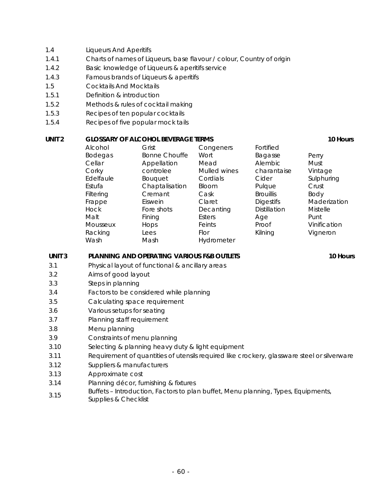### 1.4 Liqueurs And Aperitifs

- 1.4.1 Charts of names of Liqueurs, base flavour / colour, Country of origin
- 1.4.2 Basic knowledge of Liqueurs & aperitifs service
- 1.4.3 Famous brands of Liqueurs & aperitifs
- 1.5 Cocktails And Mocktails
- 1.5.1 Definition & introduction
- 1.5.2 Methods & rules of cocktail making
- 1.5.3 Recipes of ten popular cocktails
- 1.5.4 Recipes of five popular mock tails

### **UNIT 2** GLOSSARY OF ALCOHOL BEVERAGE TERMS **10 Hours** 10 Hours

| Alcohol        | Grist                | Congeners    | Fortified           |                 |
|----------------|----------------------|--------------|---------------------|-----------------|
| <b>Bodegas</b> | <b>Bonne Chouffe</b> | Wort         | Bagasse             | Perry           |
| Cellar         | Appellation          | Mead         | Alembic             | Must            |
| Corky          | controlee            | Mulled wines | charantaise         | Vintage         |
| Edelfaule      | <b>Bouquet</b>       | Cordials     | Cider               | Sulphuring      |
| Estufa         | Chaptalisation       | <b>Bloom</b> | Pulque              | Crust           |
| Filtering      | Cremant              | Cask         | <b>Brouillis</b>    | Body            |
| Frappe         | Eiswein              | Claret       | <b>Digestifs</b>    | Maderization    |
| <b>Hock</b>    | Fore shots           | Decanting    | <b>Distillation</b> | <b>Mistelle</b> |
| Malt           | Fining               | Esters       | Age                 | Punt            |
| Mousseux       | Hops                 | Feints       | Proof               | Vinification    |
| Racking        | Lees                 | Flor         | Kilning             | Vigneron        |
| Wash           | Mash                 | Hydrometer   |                     |                 |
|                |                      |              |                     |                 |

#### UNIT 3 PLANNING AND OPERATING VARIOUS F&B OUTLETS **10 FLANNING AND OPERATING VARIOUS F&B** OUTLETS

- 3.1 Physical layout of functional & ancillary areas
- 3.2 Aims of good layout
- 3.3 Steps in planning
- 3.4 Factors to be considered while planning
- 3.5 Calculating space requirement
- 3.6 Various setups for seating
- 3.7 Planning staff requirement
- 3.8 Menu planning
- 3.9 Constraints of menu planning
- 3.10 Selecting & planning heavy duty & light equipment
- 3.11 Requirement of quantities of utensils required like crockery, glassware steel or silverware
- 3.12 Suppliers & manufacturers
- 3.13 Approximate cost
- 3.14 Planning décor, furnishing & fixtures
- 3.15 Buffets Introduction, Factors to plan buffet, Menu planning, Types, Equipments,
- Supplies & Checklist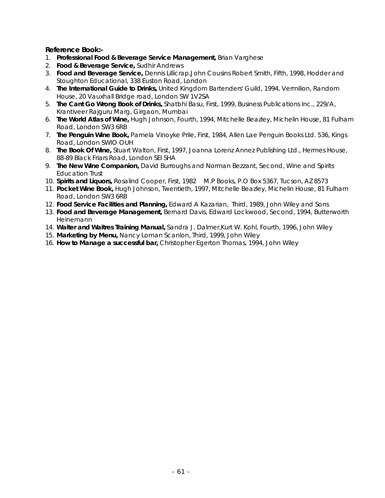**Reference Book:-** 

- 1. **Professional Food & Beverage Service Management,** Brian Varghese
- 2. **Food & Beverage Service,** Sudhir Andrews
- 3. **Food and Beverage Service,** Dennis Lillicrap,John Cousins Robert Smith, Fifth, 1998, Hodder and Stoughton Educational, 338 Euston Road, London
- 4. **The International Guide to Drinks,** United Kingdom Bartenders' Guild, 1994, Vermilion, Random House, 20 Vauxhall Bridge road, London SW 1V2SA
- 5. **The Cant Go Wrong Book of Drinks,** Shatbhi Basu, First, 1999, Business Publications Inc., 229/A, Krantiveer Rajguru Marg, Girgaon, Mumbai
- 6. **The World Atlas of Wine,** Hugh Johnson, Fourth, 1994, Mitchelle Beazley, Michelin House, 81 Fulham Road, London SW3 6RB
- 7. **The Penguin Wine Book,** Pamela Vinoyke Prile, First, 1984, Allen Lae Penguin Books Ltd. 536, Kings Road, London SWIO OUH
- 8. **The Book Of Wine,** Stuart Walton, First, 1997, Joanna Lorenz Annez Publishing Ltd., Hermes House, 88-89 Black Friars Road, London SEI SHA
- 9. **The New Wine Companion,** David Burroughs and Norman Bezzant, Second, Wine and Spirits Education Trust
- 10. **Spirits and Liquors,** Rosalind Cooper, First, 1982 M.P Books, P.O Box 5367, Tucson, AZ 8573
- 11. **Pocket Wine Book,** Hugh Johnson, Twentieth, 1997, Mitchelle Beazley, Michelin House, 81 Fulham Road, London SW3 6RB
- 12. **Food Service Facilities and Planning,** Edward A Kazarian, Third, 1989, John Wiley and Sons
- 13. **Food and Beverage Management,** Bernard Davis, Edward Lockwood, Second, 1994, Butterworth Heinemann
- 14. **Waiter and Waitres Training Manual,** Sandra J. Dalmer,Kurt W. Kohl, Fourth, 1996, John Wiley
- 15. **Marketing by Menu,** Nancy Loman Scanlon, Third, 1999, John Wiley
- 16. **How to Manage a successful bar,** Christopher Egerton Thomas, 1994, John Wiley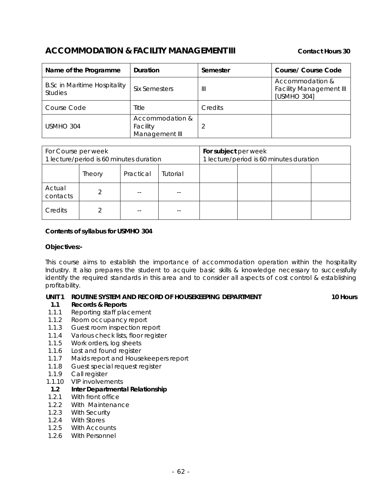# **ACCOMMODATION & FACILITY MANAGEMENT III** Contact Hours 30

| Name of the Programme                                 | Duration                                      | Semester       | Course/ Course Code                                              |
|-------------------------------------------------------|-----------------------------------------------|----------------|------------------------------------------------------------------|
| <b>B.Sc in Maritime Hospitality</b><br><b>Studies</b> | Six Semesters                                 | $\mathbb{I}$   | Accommodation &<br><b>Facility Management III</b><br>[USMHO 304] |
| Course Code                                           | Title                                         | <b>Credits</b> |                                                                  |
| USMHO 304                                             | Accommodation &<br>Facility<br>Management III |                |                                                                  |

| For Course per week<br>1 lecture/period is 60 minutes duration |        |           | For subject per week | 1 lecture/period is 60 minutes duration |  |  |
|----------------------------------------------------------------|--------|-----------|----------------------|-----------------------------------------|--|--|
|                                                                | Theory | Practical | Tutorial             |                                         |  |  |
| Actual<br>contacts                                             |        |           |                      |                                         |  |  |
| Credits                                                        |        |           |                      |                                         |  |  |

#### **Contents of syllabus for USMHO 304**

#### **Objectives:-**

This course aims to establish the importance of accommodation operation within the hospitality Industry. It also prepares the student to acquire basic skills & knowledge necessary to successfully identify the required standards in this area and to consider all aspects of cost control & establishing profitability.

#### **UNIT 1 ROUTINE SYSTEM AND RECORD OF HOUSEKEEPING DEPARTMENT 10 FOURS 10 Hours**

#### **1.1 Records & Reports**

- 1.1.1 Reporting staff placement
- 1.1.2 Room occupancy report
- 1.1.3 Guest room inspection report
- 1.1.4 Various check lists, floor register
- 1.1.5 Work orders, log sheets
- 1.1.6 Lost and found register
- 1.1.7 Maids report and Housekeepers report
- 1.1.8 Guest special request register
- 1.1.9 Call register
- 1.1.10 VIP involvements

#### **1.2 Inter Departmental Relationship**

- 1.2.1 With front office
- 1.2.2 With Maintenance
- 1.2.3 With Security
- 1.2.4 With Stores
- 1.2.5 With Accounts
- 1.2.6 With Personnel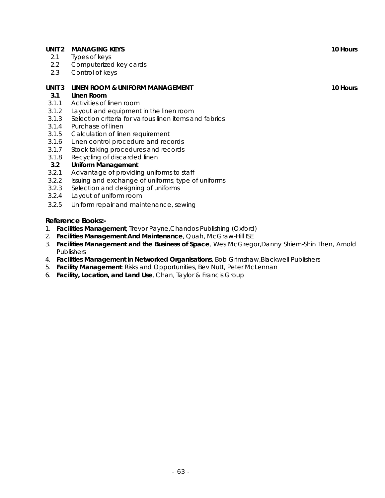#### **UNIT 2 MANAGING KEYS** 10 Hours 10 Hours

- 2.1 Types of keys
- 2.2 Computerized key cards
- 2.3 Control of keys

### **UNIT 3 LINEN ROOM & UNIFORM MANAGEMENT 10 Hours** 10 Hours

#### **3.1 Linen Room**

- 3.1.1 Activities of linen room
- 3.1.2 Layout and equipment in the linen room
- 3.1.3 Selection criteria for various linen items and fabrics
- 3.1.4 Purchase of linen
- 3.1.5 Calculation of linen requirement
- 3.1.6 Linen control procedure and records
- 3.1.7 Stock taking procedures and records
- 3.1.8 Recycling of discarded linen

#### **3.2 Uniform Management**

- 3.2.1 Advantage of providing uniforms to staff
- 3.2.2 Issuing and exchange of uniforms; type of uniforms
- 3.2.3 Selection and designing of uniforms
- 3.2.4 Layout of uniform room
- 3.2.5 Uniform repair and maintenance, sewing

#### **Reference Books:-**

- 1. **Facilities Management**, Trevor Payne,Chandos Publishing (Oxford)
- 2. **Facilities Management And Maintenance**, Quah, McGraw-Hill ISE
- 3. **Facilities Management and the Business of Space**, Wes McGregor,Danny Shiem-Shin Then, Arnold **Publishers**
- 4. **Facilities Management in Networked Organisations**, Bob Grimshaw,Blackwell Publishers
- 5. **Facility Management**: Risks and Opportunities, Bev Nutt, Peter McLennan
- 6. **Facility, Location, and Land Use**, Chan, Taylor & Francis Group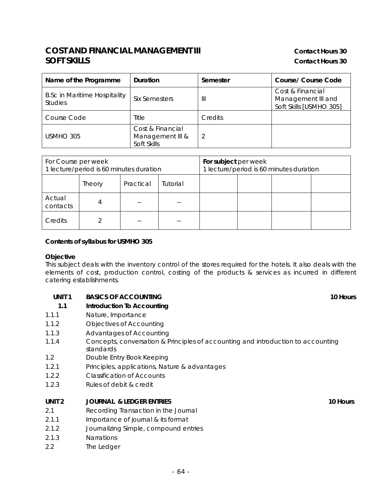# **COST AND FINANCIAL MANAGEMENT III COST AND FINANCIAL MANAGEMENT III SOFT SKILLS** Contact Hours 30

| Name of the Programme                                 | <b>Duration</b>                                     | Semester | <b>Course/ Course Code</b>                                        |
|-------------------------------------------------------|-----------------------------------------------------|----------|-------------------------------------------------------------------|
| <b>B.Sc in Maritime Hospitality</b><br><b>Studies</b> | Six Semesters                                       | Ш        | Cost & Financial<br>Management III and<br>Soft Skills [USMHO 305] |
| Course Code                                           | Title                                               | Credits  |                                                                   |
| USMHO 305                                             | Cost & Financial<br>Management III &<br>Soft Skills |          |                                                                   |

| For Course per week<br>1 lecture/period is 60 minutes duration |               |           | For subject per week<br>1 lecture/period is 60 minutes duration |  |  |  |  |
|----------------------------------------------------------------|---------------|-----------|-----------------------------------------------------------------|--|--|--|--|
|                                                                | <b>Theory</b> | Practical | Tutorial                                                        |  |  |  |  |
| Actual<br>contacts                                             |               |           |                                                                 |  |  |  |  |
| Credits                                                        |               |           |                                                                 |  |  |  |  |

#### **Contents of syllabus for USMHO 305**

#### **Objective**

This subject deals with the inventory control of the stores required for the hotels. It also deals with the elements of cost, production control, costing of the products & services as incurred in different catering establishments.

#### **UNIT 1 BASICS OF ACCOUNTING 10 HOURS** 10 Hours

#### **1.1 Introduction To Accounting**

- 1.1.1 Nature, Importance
- 1.1.2 Objectives of Accounting
- 1.1.3 Advantages of Accounting
- 1.1.4 Concepts, conversation & Principles of accounting and introduction to accounting standards
- 1.2 Double Entry Book Keeping
- 1.2.1 Principles, applications, Nature & advantages
- 1.2.2 Classification of Accounts
- 1.2.3 Rules of debit & credit

### **UNIT 2** JOURNAL & LEDGER ENTRIES **10 Hours 10 Hours**

- 2.1 Recording Transaction in the Journal
- 2.1.1 Importance of journal & its format
- 2.1.2 Journalizing Simple, compound entries
- 2.1.3 Narrations
- 2.2 The Ledger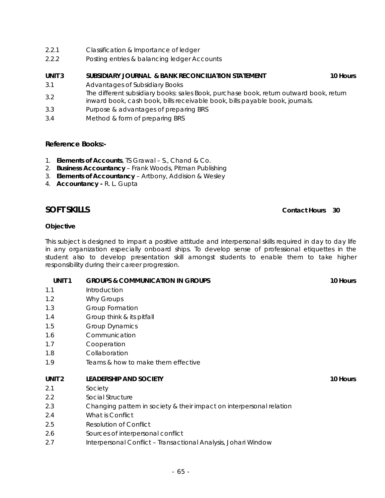- 2.2.1 Classification & Importance of ledger
- 2.2.2 Posting entries & balancing ledger Accounts

#### **UNIT 3 SUBSIDIARY JOURNAL & BANK RECONCILIATION STATEMENT 10 HOURS**

- 3.1 Advantages of Subsidiary Books
- 3.2 The different subsidiary books: sales Book, purchase book, return outward book, return inward book, cash book, bills receivable book, bills payable book, journals.
- 3.3 Purpose & advantages of preparing BRS
- 3.4 Method & form of preparing BRS

#### **Reference Books:-**

- 1. **Elements of Accounts**, TS Grawal S., Chand & Co.
- 2. **Business Accountancy** Frank Woods, Pitman Publishing
- 3. **Elements of Accountancy** Artbony, Addision & Wesley
- 4. **Accountancy -** R. L. Gupta

### **SOFT SKILLS** Contact Hours 30

#### **Objective**

This subject is designed to impart a positive attitude and interpersonal skills required in day to day life in any organization especially onboard ships. To develop sense of professional etiquettes in the student also to develop presentation skill amongst students to enable them to take higher responsibility during their career progression.

#### **UNIT 1 GROUPS & COMMUNICATION IN GROUPS 10 HOURS 10 HOURS**

- 1.1 Introduction
- 1.2 Why Groups
- 1.3 Group Formation
- 1.4 Group think & its pitfall
- 1.5 Group Dynamics
- 1.6 Communication
- 1.7 Cooperation
- 1.8 Collaboration
- 1.9 Teams & how to make them effective

#### **UNIT 2** LEADERSHIP AND SOCIETY **10 Hours** 10 Hours

- 2.1 Society
- 2.2 Social Structure
- 2.3 Changing pattern in society & their impact on interpersonal relation
- 2.4 What is Conflict
- 2.5 Resolution of Conflict
- 2.6 Sources of interpersonal conflict
- 2.7 Interpersonal Conflict Transactional Analysis, Johari Window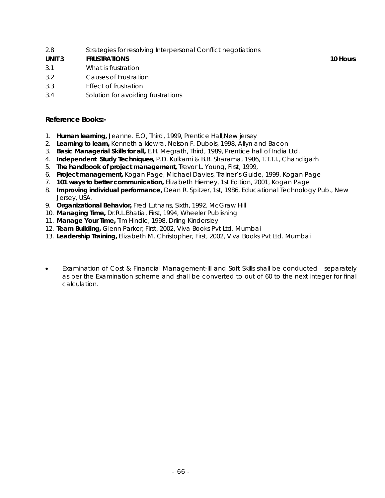2.8 Strategies for resolving Interpersonal Conflict negotiations

### **UNIT 3** FRUSTRATIONS **10 Hours** 10 Hours

- 3.1 What is frustration
- 3.2 Causes of Frustration
- 3.3 Effect of frustration
- 3.4 Solution for avoiding frustrations

### **Reference Books:-**

- 1. **Human learning,** Jeanne. E.O, Third, 1999, Prentice Hall,New jersey
- 2. **Learning to learn,** Kenneth a kiewra, Nelson F. Dubois, 1998, Allyn and Bacon
- 3. **Basic Managerial Skills for all,** E.H. Megrath, Third, 1989, Prentice hall of India Ltd.
- 4. **Independent Study Techniques,** P.D. Kulkarni & B.B. Sharama, 1986, T.T.T.I., Chandigarh
- 5. **The handbook of project management,** Trevor L. Young, First, 1999,
- 6. **Project management,** Kogan Page, Michael Davies, Trainer's Guide, 1999, Kogan Page
- 7. **101 ways to better communication,** Elizabeth Hierney, 1st Edition, 2001, Kogan Page
- 8. **Improving individual performance,** Dean R. Spitzer, 1st, 1986, Educational Technology Pub., New Jersey, USA.
- 9. **Organizational Behavior,** Fred Luthans, Sixth, 1992, McGraw Hill
- 10. **Managing Time,** Dr.R.L.Bhatia, First, 1994, Wheeler Publishing
- 11. **Manage Your Time,** Tim Hindle, 1998, Drling Kindersley
- 12. **Team Building,** Glenn Parker, First, 2002, Viva Books Pvt Ltd. Mumbai
- 13. **Leadership Training,** Elizabeth M. Christopher, First, 2002, Viva Books Pvt Ltd. Mumbai
- Examination of Cost & Financial Management-III and Soft Skills shall be conducted separately as per the Examination scheme and shall be converted to out of 60 to the next integer for final calculation.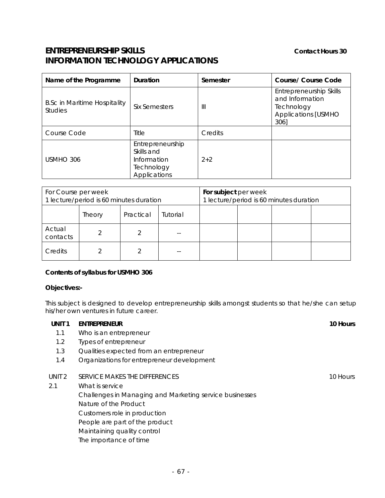# **ENTREPRENEURSHIP SKILLS** Contact Hours 30 **INFORMATION TECHNOLOGY APPLICATIONS**

| Name of the Programme                                 | Duration                                                                    | Semester | Course/ Course Code                                                                            |
|-------------------------------------------------------|-----------------------------------------------------------------------------|----------|------------------------------------------------------------------------------------------------|
| <b>B.Sc in Maritime Hospitality</b><br><b>Studies</b> | Six Semesters                                                               | Ш        | Entrepreneurship Skills<br>and Information<br>Technology<br><b>Applications [USMHO</b><br>306] |
| Course Code                                           | Title                                                                       | Credits  |                                                                                                |
| USMHO 306                                             | Entrepreneurship<br>Skills and<br>Information<br>Technology<br>Applications | $2+2$    |                                                                                                |

| For Course per week<br>1 lecture/period is 60 minutes duration |        |           | For subject per week | 1 lecture/period is 60 minutes duration |  |  |
|----------------------------------------------------------------|--------|-----------|----------------------|-----------------------------------------|--|--|
|                                                                | Theory | Practical | Tutorial             |                                         |  |  |
| Actual<br>contacts                                             |        |           |                      |                                         |  |  |
| Credits                                                        |        |           |                      |                                         |  |  |

### **Contents of syllabus for USMHO 306**

### **Objectives:-**

This subject is designed to develop entrepreneurship skills amongst students so that he/she can setup his/her own ventures in future career.

| 10 Hours                                                |
|---------------------------------------------------------|
|                                                         |
|                                                         |
|                                                         |
| Organizations for entrepreneur development              |
| 10 Hours                                                |
|                                                         |
| Challenges in Managing and Marketing service businesses |
|                                                         |
|                                                         |
|                                                         |
|                                                         |
|                                                         |
|                                                         |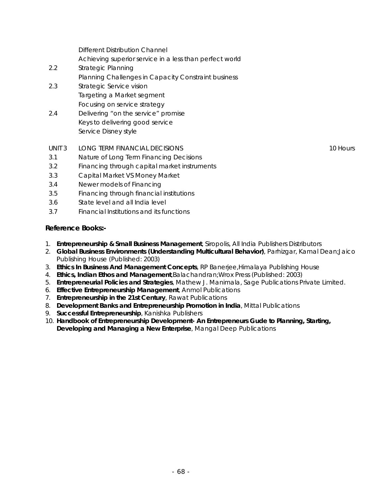| 2.2 | Strategic Planning                                  |
|-----|-----------------------------------------------------|
|     | Planning Challenges in Capacity Constraint business |
| 2.3 | Strategic Service vision                            |
|     | Targeting a Market segment                          |
|     | Focusing on service strategy                        |
| 2.4 | Delivering "on the service" promise                 |
|     | Keys to delivering good service                     |
|     | Service Disney style                                |
|     |                                                     |

Achieving superior service in a less than perfect world

- UNIT 3 LONG TERM FINANCIAL DECISIONS 10 HOURS 10 HOURS
- 3.1 Nature of Long Term Financing Decisions

Different Distribution Channel

- 3.2 Financing through capital market instruments
- 3.3 Capital Market VS Money Market
- 3.4 Newer models of Financing
- 3.5 Financing through financial institutions
- 3.6 State level and all India level
- 3.7 Financial Institutions and its functions

#### **Reference Books:-**

- 1. **Entrepreneurship & Small Business Management**, Siropolis, All India Publishers Distributors
- 2. **Global Business Environments (Understanding Multicultural Behavior)**, Parhizgar, Kamal Dean;Jaico Publishing House (Published: 2003)
- 3. **Ethics In Business And Management Concepts**, RP Banerjee,Himalaya Publishing House
- 4. **Ethics, Indian Ethos and Management**,Balachandran;Wrox Press (Published: 2003)
- 5. **Entrepreneurial Policies and Strategies**, Mathew J. Manimala, Sage Publications Private Limited.
- 6. **Effective Entrepreneurship Management**, Anmol Publications
- 7. **Entrepreneurship in the 21st Century**, Rawat Publications
- 8. **Development Banks and Entrepreneurship Promotion in India**, Mittal Publications
- 9. **Successful Entrepreneurship**, Kanishka Publishers
- 10. **Handbook of Entrepreneurship Development- An Entrepreneurs Gude to Planning, Starting, Developing and Managing a New Enterprise**, Mangal Deep Publications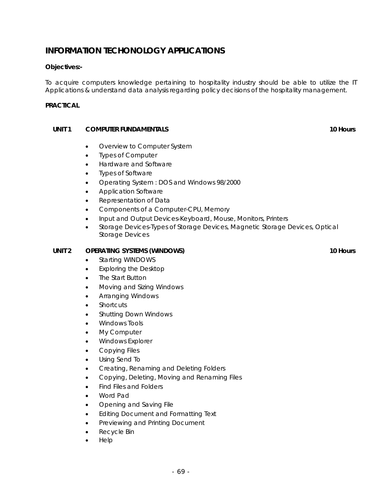# **INFORMATION TECHONOLOGY APPLICATIONS**

### **Objectives:-**

To acquire computers knowledge pertaining to hospitality industry should be able to utilize the IT Applications & understand data analysis regarding policy decisions of the hospitality management.

#### **PRACTICAL**

#### **UNIT 1** COMPUTER FUNDAMENTALS **10** ACCOMPUTER **FUNDAMENTALS**

- Overview to Computer System
- Types of Computer
- Hardware and Software
- Types of Software
- Operating System : DOS and Windows 98/2000
- Application Software
- Representation of Data
- Components of a Computer-CPU, Memory
- Input and Output Devices-Keyboard, Mouse, Monitors, Printers
- Storage Devices-Types of Storage Devices, Magnetic Storage Devices, Optical Storage Devices

#### UNIT 2 OPERATING SYSTEMS (WINDOWS) **10** Nours **10 Hours 10 Hours**

- Starting WINDOWS
- Exploring the Desktop
- The Start Button
- Moving and Sizing Windows
- Arranging Windows
- **Shortcuts**
- Shutting Down Windows
- Windows Tools
- My Computer
- Windows Explorer
- Copying Files
- Using Send To
- Creating, Renaming and Deleting Folders
- Copying, Deleting, Moving and Renaming Files
- Find Files and Folders
- Word Pad
- Opening and Saving File
- Editing Document and Formatting Text
- Previewing and Printing Document
- Recycle Bin
- Help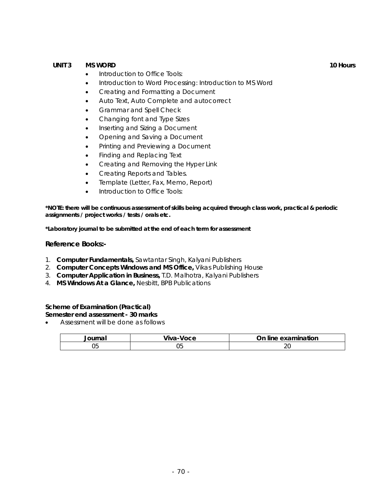#### **UNIT 3 MS WORD 10 Hours**

- Introduction to Office Tools:
- Introduction to Word Processing: Introduction to MS Word
- Creating and Formatting a Document
- Auto Text, Auto Complete and autocorrect
- Grammar and Spell Check
- Changing font and Type Sizes
- Inserting and Sizing a Document
- Opening and Saving a Document
- Printing and Previewing a Document
- Finding and Replacing Text
- Creating and Removing the Hyper Link
- Creating Reports and Tables.
- Template (Letter, Fax, Memo, Report)
- Introduction to Office Tools:

**\*NOTE: there will be continuous assessment of skills being acquired through class work, practical & periodic assignments / project works / tests / orals etc.** 

**\*Laboratory journal to be submitted at the end of each term for assessment**

#### **Reference Books:-**

- 1. **Computer Fundamentals,** Sawtantar Singh, Kalyani Publishers
- 2. **Computer Concepts Windows and MS Office,** Vikas Publishing House
- 3. **Computer Application in Business,** T.D. Malhotra, Kalyani Publishers
- 4. **MS Windows At a Glance,** Nesbitt, BPB Publications

### **Scheme of Examination (Practical)**

**Semester end assessment - 30 marks** 

• Assessment will be done as follows

| Journal | Viva-Voce | On line examination |
|---------|-----------|---------------------|
|         |           |                     |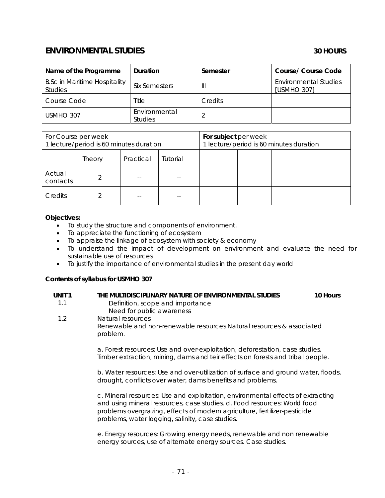# **ENVIRONMENTAL STUDIES 30 HOURS**

| Name of the Programme                                 | Duration                        | Semester | Course/ Course Code                         |
|-------------------------------------------------------|---------------------------------|----------|---------------------------------------------|
| <b>B.Sc in Maritime Hospitality</b><br><b>Studies</b> | Six Semesters                   | Ш        | <b>Environmental Studies</b><br>[USMHO 307] |
| Course Code                                           | Title                           | Credits  |                                             |
| USMHO 307                                             | Environmental<br><b>Studies</b> |          |                                             |

| For Course per week<br>1 lecture/period is 60 minutes duration |        |           | For subject per week | 1 lecture/period is 60 minutes duration |  |  |
|----------------------------------------------------------------|--------|-----------|----------------------|-----------------------------------------|--|--|
|                                                                | Theory | Practical | Tutorial             |                                         |  |  |
| Actual<br>contacts                                             |        |           |                      |                                         |  |  |
| Credits                                                        |        |           |                      |                                         |  |  |

#### **Objectives:**

- To study the structure and components of environment.
- To appreciate the functioning of ecosystem
- To appraise the linkage of ecosystem with society & economy
- To understand the impact of development on environment and evaluate the need for sustainable use of resources
- To justify the importance of environmental studies in the present day world

#### **Contents of syllabus for USMHO 307**

| UNIT <sub>1</sub><br>1.1 | THE MULTIDISCIPLINARY NATURE OF ENVIRONMENTAL STUDIES<br>10 Hours<br>Definition, scope and importance<br>Need for public awareness                                                                                                                                                           |  |
|--------------------------|----------------------------------------------------------------------------------------------------------------------------------------------------------------------------------------------------------------------------------------------------------------------------------------------|--|
| 1.2                      | Natural resources<br>Renewable and non-renewable resources Natural resources & associated<br>problem.                                                                                                                                                                                        |  |
|                          | a. Forest resources: Use and over-exploitation, deforestation, case studies.<br>Timber extraction, mining, dams and teir effects on forests and tribal people.                                                                                                                               |  |
|                          | b. Water resources: Use and over-utilization of surface and ground water, floods,<br>drought, conflicts over water, dams benefits and problems.                                                                                                                                              |  |
|                          | c. Mineral resources: Use and exploitation, environmental effects of extracting<br>and using mineral resources, case studies. d. Food resources: World food<br>problems overgrazing, effects of modern agriculture, fertilizer-pesticide<br>problems, water logging, salinity, case studies. |  |

e. Energy resources: Growing energy needs, renewable and non renewable energy sources, use of alternate energy sources. Case studies.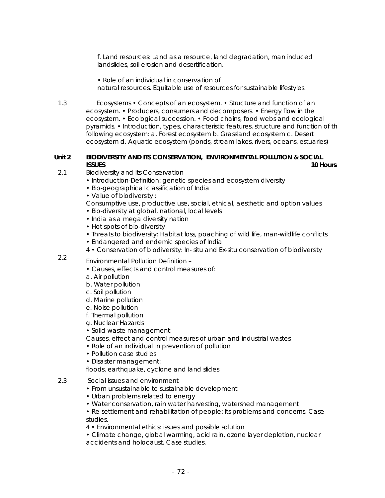f. Land resources: Land as a resource, land degradation, man induced landslides, soil erosion and desertification.

• Role of an individual in conservation of natural resources. Equitable use of resources for sustainable lifestyles.

1.3 Ecosystems • Concepts of an ecosystem. • Structure and function of an ecosystem. • Producers, consumers and decomposers. • Energy flow in the ecosystem. • Ecological succession. • Food chains, food webs and ecological pyramids. • Introduction, types, characteristic features, structure and function of th following ecosystem: a. Forest ecosystem b. Grassland ecosystem c. Desert ecosystem d. Aquatic ecosystem (ponds, stream lakes, rivers, oceans, estuaries)

#### **Unit 2 BIODIVERSITY AND ITS CONSERVATION, ENVIRONMENTAL POLLUTION & SOCIAL ISSUES** 10 Hours **10 Hours**

- 2.1 Biodiversity and Its Conservation
	- Introduction-Definition: genetic species and ecosystem diversity
	- Bio-geographical classification of India
	- Value of biodiversity :
	- Consumptive use, productive use, social, ethical, aesthetic and option values
	- Bio-diversity at global, national, local levels
	- India as a mega diversity nation
	- Hot spots of bio-diversity
	- Threats to biodiversity: Habitat loss, poaching of wild life, man-wildlife conflicts
	- Endangered and endemic species of India
	- 4 Conservation of biodiversity: In- situ and Ex-situ conservation of biodiversity
- 2.2 Environmental Pollution Definition
	- Causes, effects and control measures of:
	- a. Air pollution
	- b. Water pollution
	- c. Soil pollution
	- d. Marine pollution
	- e. Noise pollution
	- f. Thermal pollution
	- g. Nuclear Hazards
	- Solid waste management:
	- Causes, effect and control measures of urban and industrial wastes
	- Role of an individual in prevention of pollution
	- Pollution case studies
	- Disaster management:

floods, earthquake, cyclone and land slides

- 2.3 Social issues and environment
	- From unsustainable to sustainable development
	- Urban problems related to energy
	- Water conservation, rain water harvesting, watershed management
	- Re-settlement and rehabilitation of people: Its problems and concerns. Case studies.
	- 4 Environmental ethics: issues and possible solution
	- Climate change, global warming, acid rain, ozone layer depletion, nuclear accidents and holocaust. Case studies.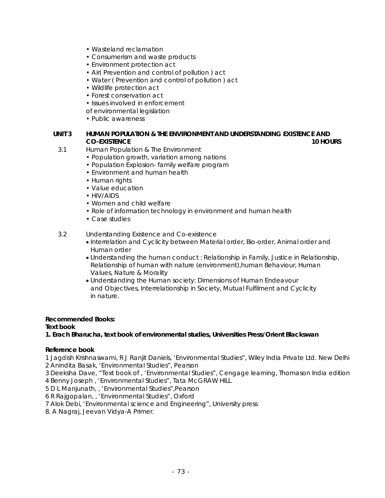- Wasteland reclamation
- Consumerism and waste products
- Environment protection act
- Air( Prevention and control of pollution ) act
- Water ( Prevention and control of pollution ) act
- Wildlife protection act
- Forest conservation act
- Issues involved in enforcement
- of environmental legislation
- Public awareness

#### **UNIT 3 HUMAN POPULATION & THE ENVIRONMENT AND UNDERSTANDING EXISTENCE AND CO-EXISTENCE 10 HOURS**

- 3.1 Human Population & The Environment
	- Population growth, variation among nations
	- Population Explosion- family welfare program
	- Environment and human health
	- Human rights
	- Value education
	- HIV/AIDS
	- Women and child welfare
	- Role of information technology in environment and human health
	- Case studies

#### 3.2 Understanding Existence and Co-existence

- Interrelation and Cyclicity between Material order, Bio-order, Animal order and Human order
- Understanding the human conduct : Relationship in Family, Justice in Relationship, Relationship of human with nature (environment),human Behaviour, Human Values, Nature & Morality
- Understanding the Human society: Dimensions of Human Endeavour and Objectives, Interrelationship in Society, Mutual Fulfilment and Cyclicity in nature.

#### **Recommended Books:**

#### **Text book**

**1. Erach Bharucha, text book of environmental studies, Universities Press/Orient Blackswan** 

#### **Reference book**

1 Jagdish Krishnaswami, R J Ranjit Daniels, 'Environmental Studies", Wiley India Private Ltd. New Delhi

2 Anindita Basak, 'Environmental Studies", Pearson

3 Deeksha Dave, "Text book of , 'Environmental Studies", Cengage learning, Thomason India edition 4 Benny Joseph , 'Environmental Studies", Tata McGRAW HILL

5 D L Manjunath, , 'Environmental Studies",Pearson

6 R Rajgopalan, , 'Environmental Studies", Oxford

7 Alok Debi, 'Environmental science and Engineering", University press

8. A Nagraj, Jeevan Vidya-A Primer.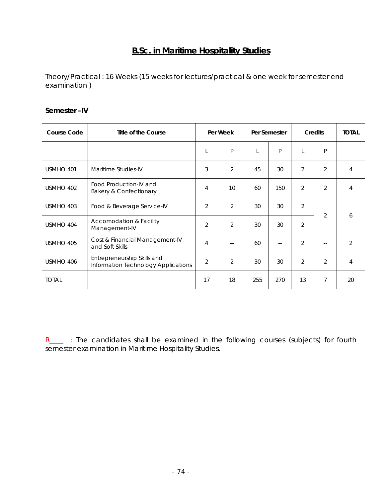# **B.Sc. in Maritime Hospitality Studies**

Theory/Practical : 16 Weeks (15 weeks for lectures/practical & one week for semester end examination )

| <b>Course Code</b> | Title of the Course                                                | Per Week       |                | Per Semester |     | <b>Credits</b> |                | <b>TOTAL</b>   |
|--------------------|--------------------------------------------------------------------|----------------|----------------|--------------|-----|----------------|----------------|----------------|
|                    |                                                                    |                | P              |              | P   | L              | P              |                |
| USMHO 401          | Maritime Studies-IV                                                | 3              | 2              | 45           | 30  | $\overline{2}$ | $\overline{2}$ | 4              |
| USMHO 402          | Food Production-IV and<br><b>Bakery &amp; Confectionary</b>        | 4              | 10             | 60           | 150 | $\overline{2}$ | $\overline{2}$ | 4              |
| USMHO 403          | Food & Beverage Service-IV                                         | 2              | $\overline{2}$ | 30           | 30  | $\overline{2}$ |                |                |
| USMHO 404          | Accomodation & Facility<br>Management-IV                           | $\overline{2}$ | $\overline{2}$ | 30           | 30  | $\overline{2}$ | $\overline{2}$ | 6              |
| USMHO 405          | Cost & Financial Management-IV<br>and Soft Skills                  | 4              |                | 60           | $-$ | $\overline{2}$ | $-$            | $\overline{2}$ |
| USMHO 406          | Entrepreneurship Skills and<br>Information Technology Applications | $\overline{2}$ | $\overline{2}$ | 30           | 30  | $\overline{2}$ | $\overline{2}$ | 4              |
| <b>TOTAL</b>       |                                                                    | 17             | 18             | 255          | 270 | 13             | $\overline{7}$ | 20             |

#### **Semester –IV**

R\_\_\_ : The candidates shall be examined in the following courses (subjects) for fourth semester examination in Maritime Hospitality Studies.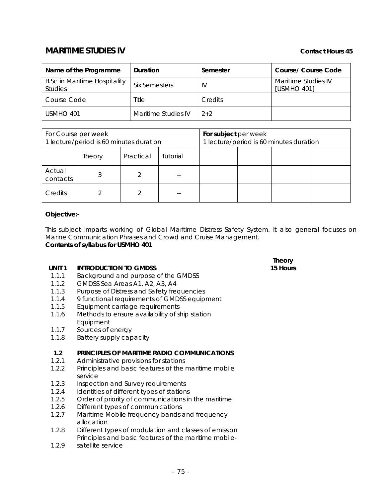# **MARITIME STUDIES IV** Contact Hours 45

| Name of the Programme                                 | Duration             | Semester       | Course/ Course Code                |
|-------------------------------------------------------|----------------------|----------------|------------------------------------|
| <b>B.Sc in Maritime Hospitality</b><br><b>Studies</b> | <b>Six Semesters</b> | IV             | Maritime Studies IV<br>[USMHO 401] |
| <b>Course Code</b>                                    | Title                | <b>Credits</b> |                                    |
| USMHO 401                                             | Maritime Studies IV  | $2 + 2$        |                                    |

| For Course per week<br>1 lecture/period is 60 minutes duration |               |           | For subject per week | 1 lecture/period is 60 minutes duration |  |  |
|----------------------------------------------------------------|---------------|-----------|----------------------|-----------------------------------------|--|--|
|                                                                | <b>Theory</b> | Practical | Tutorial             |                                         |  |  |
| Actual<br>contacts                                             |               |           |                      |                                         |  |  |
| Credits                                                        |               |           | --                   |                                         |  |  |

#### **Objective:-**

This subject imparts working of Global Maritime Distress Safety System. It also general focuses on Marine Communication Phrases and Crowd and Cruise Management. **Contents of syllabus for USMHO 401**

#### **UNIT 1 INTRODUCTION TO GMDSS**

- 1.1.1 Background and purpose of the GMDSS
- 1.1.2 GMDSS Sea Areas A1, A2, A3, A4
- 1.1.3 Purpose of Distress and Safety frequencies
- 1.1.4 9 functional requirements of GMDSS equipment
- 1.1.5 Equipment carriage requirements
- 1.1.6 Methods to ensure availability of ship station Equipment
- 1.1.7 Sources of energy
- 1.1.8 Battery supply capacity

#### **1.2 PRINCIPLES OF MARITIME RADIO COMMUNICATIONS**

- 1.2.1 Administrative provisions for stations
- 1.2.2 Principles and basic features of the maritime mobile service
- 1.2.3 Inspection and Survey requirements
- 1.2.4 Identities of different types of stations
- 1.2.5 Order of priority of communications in the maritime
- 1.2.6 Different types of communications
- 1.2.7 Maritime Mobile frequency bands and frequency allocation
- 1.2.8 Different types of modulation and classes of emission Principles and basic features of the maritime mobile-
- 1.2.9 satellite service

#### **Theory 15 Hours**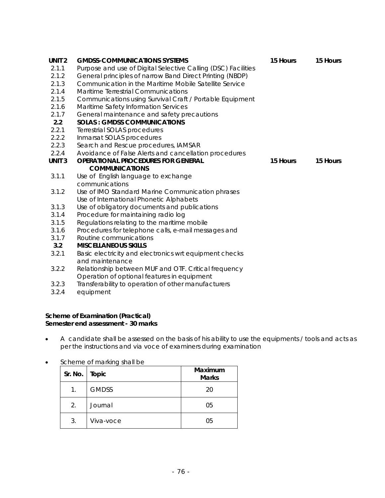| UNIT <sub>2</sub> | <b>GMDSS-COMMUNICATIONS SYSTEMS</b>                           | 15 Hours | 15 Hours |
|-------------------|---------------------------------------------------------------|----------|----------|
| 2.1.1             | Purpose and use of Digital Selective Calling (DSC) Facilities |          |          |
| 2.1.2             | General principles of narrow Band Direct Printing (NBDP)      |          |          |
| 2.1.3             | Communication in the Maritime Mobile Satellite Service        |          |          |
| 2.1.4             | Maritime Terrestrial Communications                           |          |          |
| 2.1.5             | Communications using Survival Craft / Portable Equipment      |          |          |
| 2.1.6             | Maritime Safety Information Services                          |          |          |
| 2.1.7             | General maintenance and safety precautions                    |          |          |
| 2.2               | <b>SOLAS: GMDSS COMMUNICATIONS</b>                            |          |          |
| 2.2.1             | Terrestrial SOLAS procedures                                  |          |          |
| 2.2.2             | Inmarsat SOLAS procedures                                     |          |          |
| 2.2.3             | Search and Rescue procedures, IAMSAR                          |          |          |
| 2.2.4             | Avoidance of False Alerts and cancellation procedures         |          |          |
| UNIT <sub>3</sub> | <b>OPERATIONAL PROCEDURES FOR GENERAL</b>                     | 15 Hours | 15 Hours |
|                   | <b>COMMUNICATIONS</b>                                         |          |          |
| 3.1.1             | Use of English language to exchange                           |          |          |
|                   | communications                                                |          |          |
| 3.1.2             | Use of IMO Standard Marine Communication phrases              |          |          |
|                   | Use of International Phonetic Alphabets                       |          |          |
| 3.1.3             | Use of obligatory documents and publications                  |          |          |
| 3.1.4             | Procedure for maintaining radio log                           |          |          |
| 3.1.5             | Regulations relating to the maritime mobile                   |          |          |
| 3.1.6             | Procedures for telephone calls, e-mail messages and           |          |          |
| 3.1.7             | Routine communications                                        |          |          |
| 3.2               | <b>MISCELLANEOUS SKILLS</b>                                   |          |          |
| 3.2.1             | Basic electricity and electronics wrt equipment checks        |          |          |
|                   | and maintenance                                               |          |          |
| 3.2.2             | Relationship between MUF and OTF. Critical frequency          |          |          |
|                   | Operation of optional features in equipment                   |          |          |

- 3.2.3 Transferability to operation of other manufacturers
- 3.2.4 equipment

#### **Scheme of Examination (Practical) Semester end assessment - 30 marks**

- A candidate shall be assessed on the basis of his ability to use the equipments / tools and acts as per the instructions and via voce of examiners during examination
- Scheme of marking shall be

| Sr. No. $\vert$ | Topic        | Maximum<br><b>Marks</b> |
|-----------------|--------------|-------------------------|
| 1.              | <b>GMDSS</b> | 20                      |
| 2.              | Journal      | 05                      |
| 3.              | Viva-voce    | 05                      |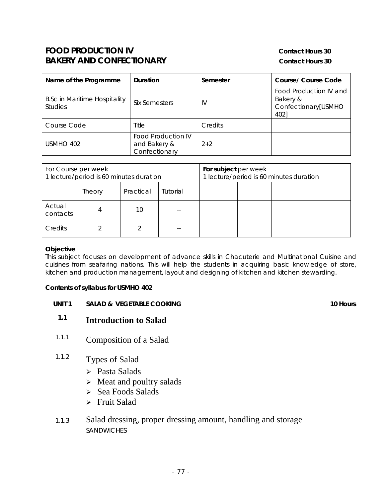# **FOOD PRODUCTION IV CONTACTION IV CONTACTION BAKERY AND CONFECTIONARY** Contact Hours 30

| Name of the Programme                                 | Duration                                                   | Semester | Course/ Course Code                                               |
|-------------------------------------------------------|------------------------------------------------------------|----------|-------------------------------------------------------------------|
| <b>B.Sc in Maritime Hospitality</b><br><b>Studies</b> | Six Semesters                                              | IV       | Food Production IV and<br>Bakery &<br>Confectionary[USMHO<br>4021 |
| Course Code                                           | Title                                                      | Credits  |                                                                   |
| USMHO 402                                             | <b>Food Production IV</b><br>and Bakery &<br>Confectionary | $2+2$    |                                                                   |

| For Course per week<br>1 lecture/period is 60 minutes duration |        |           | For subject per week | 1 lecture/period is 60 minutes duration |  |  |
|----------------------------------------------------------------|--------|-----------|----------------------|-----------------------------------------|--|--|
|                                                                | Theory | Practical | Tutorial             |                                         |  |  |
| Actual<br>contacts                                             |        | 10        |                      |                                         |  |  |
| Credits                                                        |        |           |                      |                                         |  |  |

#### **Objective**

This subject focuses on development of advance skills in Chacuterie and Multinational Cuisine and cuisines from seafaring nations. This will help the students in acquiring basic knowledge of store, kitchen and production management, layout and designing of kitchen and kitchen stewarding.

#### **Contents of syllabus for USMHO 402**

**UNIT 1 SALAD & VEGETABLE COOKING 10 HOURS** 10 Hours

- **1.1 Introduction to Salad**
- 1.1.1 Composition of a Salad
- 1.1.2 Types of Salad
	- ¾ Pasta Salads
	- $\triangleright$  Meat and poultry salads
	- $\geq$  Sea Foods Salads
	- $\triangleright$  Fruit Salad
- 1.1.3 Salad dressing, proper dressing amount, handling and storage **SANDWICHES**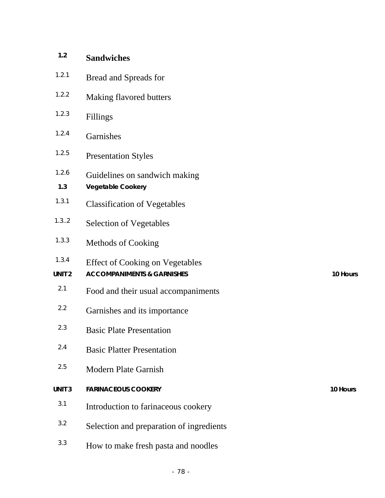| 1.2                        | <b>Sandwiches</b>                                                               |          |
|----------------------------|---------------------------------------------------------------------------------|----------|
| 1.2.1                      | Bread and Spreads for                                                           |          |
| 1.2.2                      | Making flavored butters                                                         |          |
| 1.2.3                      | Fillings                                                                        |          |
| 1.2.4                      | Garnishes                                                                       |          |
| 1.2.5                      | <b>Presentation Styles</b>                                                      |          |
| 1.2.6<br>1.3               | Guidelines on sandwich making<br><b>Vegetable Cookery</b>                       |          |
| 1.3.1                      | <b>Classification of Vegetables</b>                                             |          |
| 1.3.2                      | <b>Selection of Vegetables</b>                                                  |          |
| 1.3.3                      | Methods of Cooking                                                              |          |
| 1.3.4<br>UNIT <sub>2</sub> | <b>Effect of Cooking on Vegetables</b><br><b>ACCOMPANIMENTS &amp; GARNISHES</b> | 10 Hours |
| 2.1                        | Food and their usual accompaniments                                             |          |
| 2.2                        | Garnishes and its importance                                                    |          |
| 2.3                        | <b>Basic Plate Presentation</b>                                                 |          |
| 2.4                        | <b>Basic Platter Presentation</b>                                               |          |
| 2.5                        | <b>Modern Plate Garnish</b>                                                     |          |
| UNIT <sub>3</sub>          | <b>FARINACEOUS COOKERY</b>                                                      | 10 Hours |
| 3.1                        | Introduction to farinaceous cookery                                             |          |
| 3.2                        | Selection and preparation of ingredients                                        |          |
| 3.3                        | How to make fresh pasta and noodles                                             |          |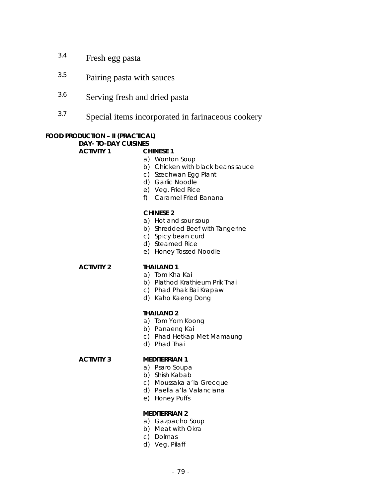- 3.4 Fresh egg pasta
- 3.5 Pairing pasta with sauces
- 3.6 Serving fresh and dried pasta
- 3.7 Special items incorporated in farinaceous cookery

# **FOOD PRODUCTION – II (PRACTICAL)**

### **DAY- TO-DAY CUISINES**

**ACTIVITY 1 CHINESE 1** 

- a) Wonton Soup
- b) Chicken with black beans sauce
- c) Szechwan Egg Plant
- d) Garlic Noodle
- e) Veg. Fried Rice
- f) Caramel Fried Banana

#### **CHINESE 2**

- a) Hot and sour soup
- b) Shredded Beef with Tangerine
- c) Spicy bean curd
- d) Steamed Rice
- e) Honey Tossed Noodle

#### **ACTIVITY 2 THAILAND 1**

- a) Tom Kha Kai
- b) Plathod Krathieum Prik Thai
- c) Phad Phak Bai Krapaw
- d) Kaho Kaeng Dong

#### **THAILAND 2**

- a) Tom Yom Koong
- b) Panaeng Kai
- c) Phad Hetkap Met Mamaung
- d) Phad Thai

#### **ACTIVITY 3 MEDITERRIAN 1**

- a) Psaro Soupa
- b) Shish Kabab
- c) Moussaka a'la Grecque
- d) Paella a'la Valanciana
- e) Honey Puffs

#### **MEDITERRIAN 2**

- a) Gazpacho Soup
- b) Meat with Okra
- c) Dolmas
- d) Veg. Pilaff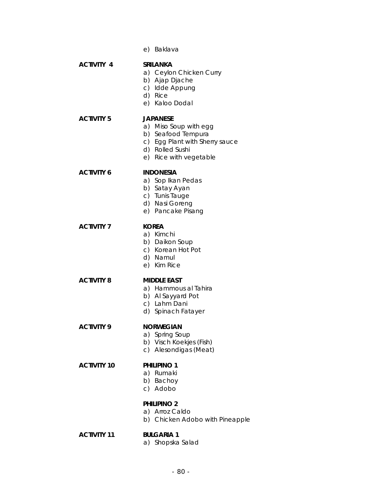e) Baklava **ACTIVITY 4 SRILANKA**  a) Ceylon Chicken Curry b) Ajap Djache c) Idde Appung d) Rice e) Kaloo Dodal **ACTIVITY 5 JAPANESE**  a) Miso Soup with egg b) Seafood Tempura c) Egg Plant with Sherry sauce d) Rolled Sushi e) Rice with vegetable **ACTIVITY 6 INDONESIA**  a) Sop Ikan Pedas b) Satay Ayan c) Tunis Tauge d) Nasi Goreng e) Pancake Pisang **ACTIVITY 7 KOREA**  a) Kimchi b) Daikon Soup c) Korean Hot Pot d) Namul e) Kim Rice **ACTIVITY 8 MIDDLE EAST**  a) Hammous al Tahira b) Al Sayyard Pot c) Lahm Dani d) Spinach Fatayer **ACTIVITY 9 NORWEGIAN**  a) Spring Soup b) Visch Koekjes (Fish) c) Alesondigas (Meat) **ACTIVITY 10 PHILIPINO 1**  a) Rumaki b) Bachoy c) Adobo **PHILIPINO 2**  a) Arroz Caldo b) Chicken Adobo with Pineapple

**ACTIVITY 11 BULGARIA 1** 

a) Shopska Salad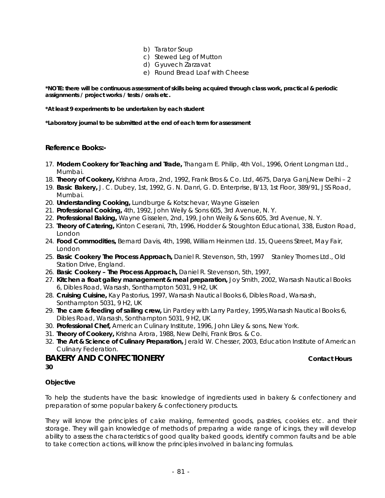- b) Tarator Soup
- c) Stewed Leg of Mutton
- d) Gyuvech Zarzavat
- e) Round Bread Loaf with Cheese

**\*NOTE: there will be continuous assessment of skills being acquired through class work, practical & periodic assignments / project works / tests / orals etc.** 

**\*At least 9 experiments to be undertaken by each student** 

**\*Laboratory journal to be submitted at the end of each term for assessment** 

#### **Reference Books:-**

- 17. **Modern Cookery for Teaching and Trade,** Thangam E. Philip, 4th Vol., 1996, Orient Longman Ltd., Mumbai.
- 18. **Theory of Cookery,** Krishna Arora, 2nd, 1992, Frank Bros & Co. Ltd, 4675, Darya Ganj,New Delhi 2
- 19. **Basic Bakery,** J. C. Dubey, 1st, 1992, G. N. Danri, G. D. Enterprise, B/13, 1st Floor, 389/91, JSS Road, Mumbai.
- 20. **Understanding Cooking,** Lundburge & Kotschevar, Wayne Gisselen
- 21. **Professional Cooking,** 4th, 1992, John Weily & Sons 605, 3rd Avenue, N. Y.
- 22. **Professional Baking,** Wayne Gisselen, 2nd, 199, John Weily & Sons 605, 3rd Avenue, N. Y.
- 23. **Theory of Catering,** Kinton Ceserani, 7th, 1996, Hodder & Stoughton Educational, 338, Euston Road, London
- 24. **Food Commodities,** Bernard Davis, 4th, 1998, William Heinmen Ltd. 15, Queens Street, May Fair, London
- 25. **Basic Cookery The Process Approach,** Daniel R. Stevenson, 5th, 1997 Stanley Thornes Ltd., Old Station Drive, England.
- 26. **Basic Cookery The Process Approach,** Daniel R. Stevenson, 5th, 1997,
- 27. **Kitchen a float galley management & meal preparation,** Joy Smith, 2002, Warsash Nautical Books 6, Dibles Road, Warsash, Sonthampton 5031, 9 H2, UK
- 28. **Cruising Cuisine,** Kay Pastorius, 1997, Warsash Nautical Books 6, Dibles Road, Warsash, Sonthampton 5031, 9 H2, UK
- 29. **The care & feeding of sailing crew,** Lin Pardey with Larry Pardey, 1995,Warsash Nautical Books 6, Dibles Road, Warsash, Sonthampton 5031, 9 H2, UK
- 30. **Professional Chef,** American Culinary Institute, 1996, John Liley & sons, New York.
- 31. **Theory of Cookery,** Krishna Arora, 1988, New Delhi, Frank Bros. & Co.
- 32. **The Art & Science of Culinary Preparation,** Jerald W. Chesser, 2003, Education Institute of American Culinary Federation.

#### **BAKERY AND CONFECTIONERY CONTACTIONERY Contact Hours 30**

#### **Objective**

To help the students have the basic knowledge of ingredients used in bakery & confectionery and preparation of some popular bakery & confectionery products.

They will know the principles of cake making, fermented goods, pastries, cookies etc. and their storage. They will gain knowledge of methods of preparing a wide range of icings, they will develop ability to assess the characteristics of good quality baked goods, identify common faults and be able to take correction actions, will know the principles involved in balancing formulas.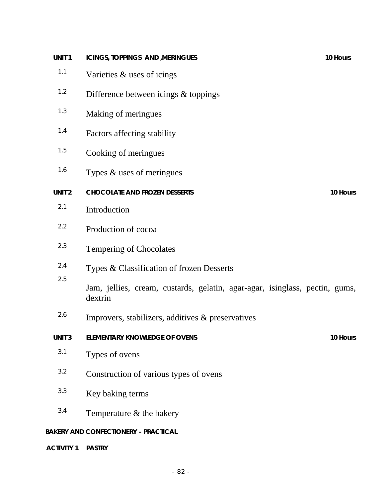| UNIT <sub>1</sub> | ICINGS, TOPPINGS AND , MERINGUES                                                       | 10 Hours |
|-------------------|----------------------------------------------------------------------------------------|----------|
| $1.1$             | Varieties & uses of icings                                                             |          |
| 1.2               | Difference between icings & toppings                                                   |          |
| 1.3               | Making of meringues                                                                    |          |
| 1.4               | Factors affecting stability                                                            |          |
| 1.5               | Cooking of meringues                                                                   |          |
| 1.6               | Types & uses of meringues                                                              |          |
| UNIT <sub>2</sub> | <b>CHOCOLATE AND FROZEN DESSERTS</b>                                                   | 10 Hours |
| 2.1               | Introduction                                                                           |          |
| 2.2               | Production of cocoa                                                                    |          |
| 2.3               | <b>Tempering of Chocolates</b>                                                         |          |
| 2.4               | Types & Classification of frozen Desserts                                              |          |
| 2.5               | Jam, jellies, cream, custards, gelatin, agar-agar, isinglass, pectin, gums,<br>dextrin |          |
| 2.6               | Improvers, stabilizers, additives & preservatives                                      |          |
| <b>UNIT3</b>      | <b>ELEMENTARY KNOWLEDGE OF OVENS</b>                                                   | 10 Hours |
| 3.1               | Types of ovens                                                                         |          |
| 3.2               | Construction of various types of ovens                                                 |          |
| 3.3               | Key baking terms                                                                       |          |
| 3.4               | Temperature & the bakery                                                               |          |
|                   | <b>BAKERY AND CONFECTIONERY - PRACTICAL</b>                                            |          |
| <b>ACTIVITY 1</b> | <b>PASTRY</b>                                                                          |          |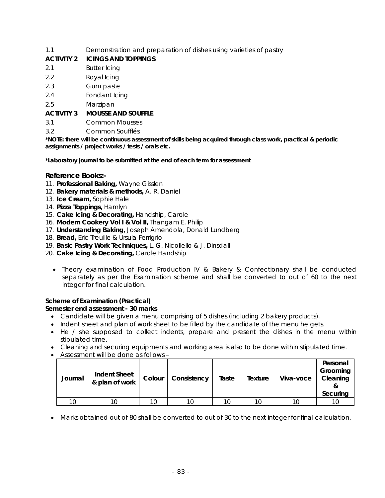### 1.1 Demonstration and preparation of dishes using varieties of pastry

### **ACTIVITY 2 ICINGS AND TOPPINGS**

- 2.1 Butter Icing
- 2.2 Royal Icing
- 2.3 Gum paste
- 2.4 Fondant Icing
- 2.5 Marzipan

### **ACTIVITY 3 MOUSSE AND SOUFFLE**

- 3.1 Common Mousses
- 3.2 Common Soufflés

**\*NOTE: there will be continuous assessment of skills being acquired through class work, practical & periodic assignments / project works / tests / orals etc.** 

#### **\*Laboratory journal to be submitted at the end of each term for assessment**

### **Reference Books:-**

- 11. **Professional Baking,** Wayne Gisslen
- 12. **Bakery materials & methods,** A. R. Daniel
- 13. **Ice Cream,** Sophie Hale
- 14. **Pizza Toppings,** Hamlyn
- 15. **Cake Icing & Decorating,** Handship, Carole
- 16. **Modern Cookery Vol I & Vol II,** Thangam E. Philip
- 17. **Understanding Baking,** Joseph Amendola, Donald Lundberg
- 18. **Bread,** Eric Treuille & Ursula Ferrigrio
- 19. **Basic Pastry Work Techniques,** L. G. Nicollello & J. Dinsdall
- 20. **Cake Icing & Decorating,** Carole Handship
	- Theory examination of Food Production IV & Bakery & Confectionary shall be conducted separately as per the Examination scheme and shall be converted to out of 60 to the next integer for final calculation.

### **Scheme of Examination (Practical)**

#### **Semester end assessment - 30 marks**

- Candidate will be given a menu comprising of 5 dishes (including 2 bakery products).
- Indent sheet and plan of work sheet to be filled by the candidate of the menu he gets.
- He / she supposed to collect indents, prepare and present the dishes in the menu within stipulated time.
- Cleaning and securing equipments and working area is also to be done within stipulated time.
- Assessment will be done as follows –

| Journal | <b>Indent Sheet</b><br>& plan of work | Colour | Consistency | Taste | Texture  | Viva-voce | Personal<br>Grooming<br>Cleaning<br>Securing |
|---------|---------------------------------------|--------|-------------|-------|----------|-----------|----------------------------------------------|
|         |                                       |        |             | 1 Q   | $10^{-}$ |           |                                              |

• Marks obtained out of 80 shall be converted to out of 30 to the next integer for final calculation.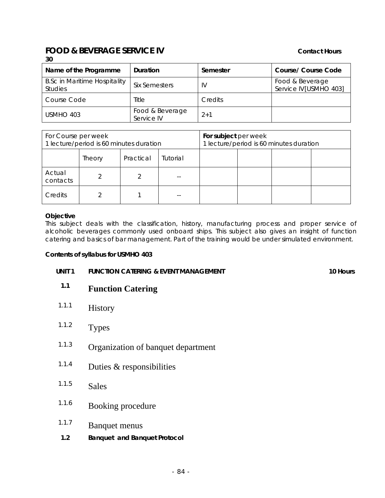#### **FOOD & BEVERAGE SERVICE IV CONTACT SERVICE IV 30**

| Name of the Programme                                 | Duration                      | Semester | <b>Course/ Course Code</b>               |
|-------------------------------------------------------|-------------------------------|----------|------------------------------------------|
| <b>B.Sc in Maritime Hospitality</b><br><b>Studies</b> | <b>Six Semesters</b>          | IV       | Food & Beverage<br>Service IV[USMHO 403] |
| Course Code                                           | Title                         | Credits  |                                          |
| USMHO 403                                             | Food & Beverage<br>Service IV | $2+1$    |                                          |

| For Course per week<br>1 lecture/period is 60 minutes duration |        |           | For subject per week | 1 lecture/period is 60 minutes duration |  |  |
|----------------------------------------------------------------|--------|-----------|----------------------|-----------------------------------------|--|--|
|                                                                | Theory | Practical | Tutorial             |                                         |  |  |
| Actual<br>contacts                                             |        |           |                      |                                         |  |  |
| Credits                                                        |        |           |                      |                                         |  |  |

#### **Objective**

This subject deals with the classification, history, manufacturing process and proper service of alcoholic beverages commonly used onboard ships. This subject also gives an insight of function catering and basics of bar management. Part of the training would be under simulated environment.

#### **Contents of syllabus for USMHO 403**

| UNIT <sub>1</sub> | <b>FUNCTION CATERING &amp; EVENT MANAGEMENT</b> | 10 Hours |
|-------------------|-------------------------------------------------|----------|

- **1.1 Function Catering**
- 1.1.1 History
- 1.1.2 Types
- 1.1.3 Organization of banquet department
- $1.1.4$  Duties & responsibilities
- 1.1.5 Sales
- 1.1.6 Booking procedure
- 1.1.7 Banquet menus
- **1.2 Banquet and Banquet Protocol**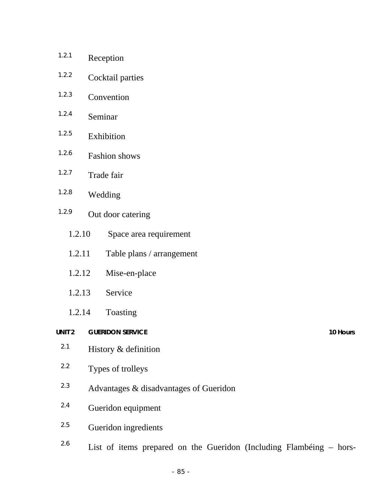| 1.2.1 |                   | Reception                                                           |          |
|-------|-------------------|---------------------------------------------------------------------|----------|
|       | 1.2.2             | Cocktail parties                                                    |          |
| 1.2.3 |                   | Convention                                                          |          |
| 1.2.4 |                   | Seminar                                                             |          |
| 1.2.5 |                   | Exhibition                                                          |          |
| 1.2.6 |                   | <b>Fashion</b> shows                                                |          |
| 1.2.7 |                   | Trade fair                                                          |          |
| 1.2.8 |                   | Wedding                                                             |          |
| 1.2.9 |                   | Out door catering                                                   |          |
|       | 1.2.10            | Space area requirement                                              |          |
|       | 1.2.11            | Table plans / arrangement                                           |          |
|       | 1.2.12            | Mise-en-place                                                       |          |
|       | 1.2.13            | Service                                                             |          |
|       | 1.2.14            | Toasting                                                            |          |
|       | UNIT <sub>2</sub> | <b>GUERIDON SERVICE</b>                                             | 10 Hours |
| 2.1   |                   | History & definition                                                |          |
|       | $2.2\,$           | Types of trolleys                                                   |          |
| 2.3   |                   | Advantages & disadvantages of Gueridon                              |          |
| 2.4   |                   | Gueridon equipment                                                  |          |
| 2.5   |                   | Gueridon ingredients                                                |          |
| 2.6   |                   | List of items prepared on the Gueridon (Including Flambeing – hors- |          |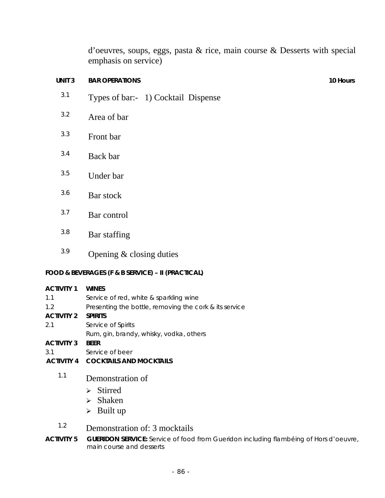d'oeuvres, soups, eggs, pasta & rice, main course & Desserts with special emphasis on service)

# **UNIT 3 BAR OPERATIONS 10 Hours 10 Hours**

- 3.1 Types of bar:- 1) Cocktail Dispense
- 3.2 Area of bar
- 3.3 Front bar
- 3.4 Back bar
- 3.5 Under bar
- 3.6 Bar stock
- 3.7 Bar control
- 3.8 Bar staffing
- $3.9$  Opening & closing duties

# **FOOD & BEVERAGES (F & B SERVICE) – II (PRACTICAL)**

| <b>ACTIVITY 1</b> | <b>WINES</b>                                           |
|-------------------|--------------------------------------------------------|
| 1.1               | Service of red, white & sparkling wine                 |
| 1.2               | Presenting the bottle, removing the cork & its service |
| <b>ACTIVITY 2</b> | <b>SPIRITS</b>                                         |
| 2.1               | Service of Spirits                                     |
|                   | Rum, gin, brandy, whisky, vodka, others                |
| <b>ACTIVITY 3</b> | <b>BEER</b>                                            |
| 3.1               | Service of beer                                        |
| <b>ACTIVITY 4</b> | <b>COCKTAILS AND MOCKTAILS</b>                         |
| 1.1               | Demonstration of                                       |
|                   |                                                        |
|                   | $\triangleright$ Stirred                               |
|                   | $\triangleright$ Shaken                                |

- ¾ Shaken
- $\triangleright$  Built up

# 1.2 Demonstration of: 3 mocktails

**ACTIVITY 5 GUERIDON SERVICE:** Service of food from Gueridon including flambéing of Hors d'oeuvre, main course and desserts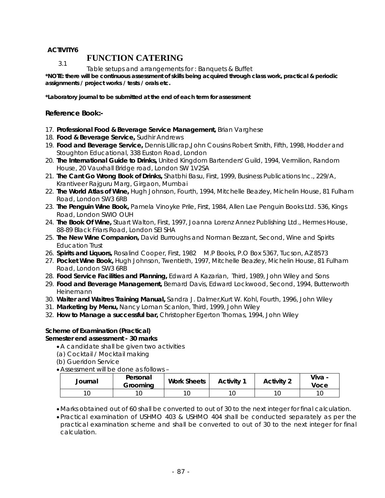### **ACTIVITY6**

# **FUNCTION CATERING**

Table setups and arrangements for : Banquets & Buffet 3.1

**\*NOTE: there will be continuous assessment of skills being acquired through class work, practical & periodic assignments / project works / tests / orals etc.** 

**\*Laboratory journal to be submitted at the end of each term for assessment** 

#### **Reference Book:-**

- 17. **Professional Food & Beverage Service Management,** Brian Varghese
- 18. **Food & Beverage Service,** Sudhir Andrews
- 19. **Food and Beverage Service,** Dennis Lillicrap,John Cousins Robert Smith, Fifth, 1998, Hodder and Stoughton Educational, 338 Euston Road, London
- 20. **The International Guide to Drinks,** United Kingdom Bartenders' Guild, 1994, Vermilion, Random House, 20 Vauxhall Bridge road, London SW 1V2SA
- 21. **The Cant Go Wrong Book of Drinks,** Shatbhi Basu, First, 1999, Business Publications Inc., 229/A, Krantiveer Rajguru Marg, Girgaon, Mumbai
- 22. **The World Atlas of Wine,** Hugh Johnson, Fourth, 1994, Mitchelle Beazley, Michelin House, 81 Fulham Road, London SW3 6RB
- 23. **The Penguin Wine Book,** Pamela Vinoyke Prile, First, 1984, Allen Lae Penguin Books Ltd. 536, Kings Road, London SWIO OUH
- 24. **The Book Of Wine,** Stuart Walton, First, 1997, Joanna Lorenz Annez Publishing Ltd., Hermes House, 88-89 Black Friars Road, London SEI SHA
- 25. **The New Wine Companion,** David Burroughs and Norman Bezzant, Second, Wine and Spirits Education Trust
- 26. **Spirits and Liquors,** Rosalind Cooper, First, 1982 M.P Books, P.O Box 5367, Tucson, AZ 8573
- 27. **Pocket Wine Book,** Hugh Johnson, Twentieth, 1997, Mitchelle Beazley, Michelin House, 81 Fulham Road, London SW3 6RB
- 28. **Food Service Facilities and Planning,** Edward A Kazarian, Third, 1989, John Wiley and Sons
- 29. **Food and Beverage Management,** Bernard Davis, Edward Lockwood, Second, 1994, Butterworth Heinemann
- 30. **Waiter and Waitres Training Manual,** Sandra J. Dalmer,Kurt W. Kohl, Fourth, 1996, John Wiley
- 31. **Marketing by Menu,** Nancy Loman Scanlon, Third, 1999, John Wiley
- 32. **How to Manage a successful bar,** Christopher Egerton Thomas, 1994, John Wiley

#### **Scheme of Examination (Practical) Semester end assessment - 30 marks**

- •A candidate shall be given two activities
- (a) Cocktail / Mocktail making
- (b) Gueridon Service
- •Assessment will be done as follows –

| Journal | Personal<br>Grooming | <b>Work Sheets</b> | Activity 1 | <b>Activity 2</b> | Viva -<br>Voce |
|---------|----------------------|--------------------|------------|-------------------|----------------|
|         |                      |                    |            |                   |                |

- •Marks obtained out of 60 shall be converted to out of 30 to the next integer for final calculation.
- •Practical examination of USHMO 403 & USHMO 404 shall be conducted separately as per the practical examination scheme and shall be converted to out of 30 to the next integer for final calculation.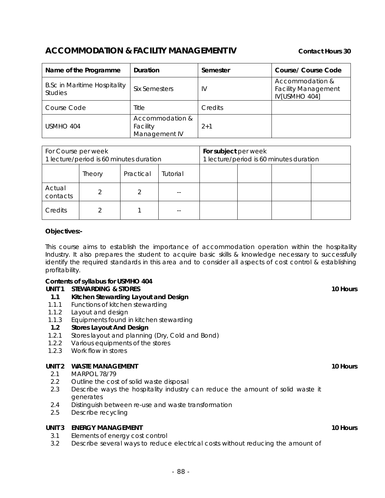# ACCOMMODATION & FACILITY MANAGEMENT IV Contact Hours 30

| Name of the Programme                                 | Duration                                     | Semester | <b>Course/ Course Code</b>                                     |
|-------------------------------------------------------|----------------------------------------------|----------|----------------------------------------------------------------|
| <b>B.Sc in Maritime Hospitality</b><br><b>Studies</b> | <b>Six Semesters</b>                         | IV       | Accommodation &<br><b>Facility Management</b><br>IV[USMHO 404] |
| Course Code                                           | Title                                        | Credits  |                                                                |
| USMHO 404                                             | Accommodation &<br>Facility<br>Management IV | $2+1$    |                                                                |

| For Course per week<br>1 lecture/period is 60 minutes duration |        |           | For subject per week | 1 lecture/period is 60 minutes duration |  |  |
|----------------------------------------------------------------|--------|-----------|----------------------|-----------------------------------------|--|--|
|                                                                | Theory | Practical | Tutorial             |                                         |  |  |
| Actual<br>contacts                                             |        |           |                      |                                         |  |  |
| Credits                                                        |        |           |                      |                                         |  |  |

#### **Objectives:-**

This course aims to establish the importance of accommodation operation within the hospitality Industry. It also prepares the student to acquire basic skills & knowledge necessary to successfully identify the required standards in this area and to consider all aspects of cost control & establishing profitability.

# **Contents of syllabus for USMHO 404**

### **UNIT 1 STEWARDING & STORES 10 Hours** 10 Hours

- **1.1 Kitchen Stewarding Layout and Design**
- 1.1.1 Functions of kitchen stewarding
- 1.1.2 Layout and design
- 1.1.3 Equipments found in kitchen stewarding

#### **1.2 Stores Layout And Design**

- 1.2.1 Stores layout and planning (Dry, Cold and Bond)
- 1.2.2 Various equipments of the stores
- 1.2.3 Work flow in stores

#### **UNIT 2 WASTE MANAGEMENT 10 HOURS** 10 HOURS

- 2.1 MARPOL 78/79
- 2.2 Outline the cost of solid waste disposal
- 2.3 Describe ways the hospitality industry can reduce the amount of solid waste it generates
- 2.4 Distinguish between re-use and waste transformation
- 2.5 Describe recycling

#### **UNIT 3 ENERGY MANAGEMENT** 10 Hours

- 3.1 Elements of energy cost control
- 3.2 Describe several ways to reduce electrical costs without reducing the amount of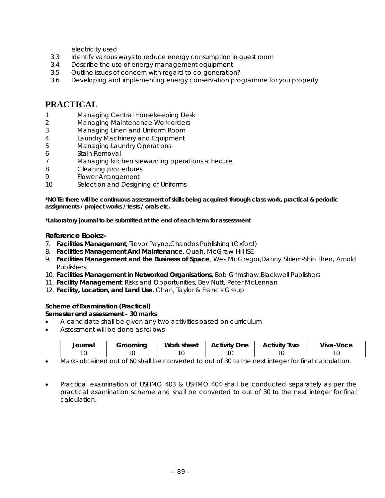electricity used

- 3.3 Identify various ways to reduce energy consumption in guest room
- 3.4 Describe the use of energy management equipment
- 3.5 Outline issues of concern with regard to co-generation?
- 3.6 Developing and implementing energy conservation programme for you property

# **PRACTICAL**

- 1 Managing Central Housekeeping Desk
- 2 Managing Maintenance Work orders
- 3 Managing Linen and Uniform Room
- 4 Laundry Machinery and Equipment
- 5 Managing Laundry Operations
- 6 Stain Removal
- 7 Managing kitchen stewarding operations schedule
- 8 Cleaning procedures
- 9 Flower Arrangement
- 10 Selection and Designing of Uniforms

**\*NOTE: there will be continuous assessment of skills being acquired through class work, practical & periodic assignments / project works / tests / orals etc.** 

**\*Laboratory journal to be submitted at the end of each term for assessment** 

#### **Reference Books:-**

- 7. **Facilities Management**, Trevor Payne,Chandos Publishing (Oxford)
- 8. **Facilities Management And Maintenance**, Quah, McGraw-Hill ISE
- 9. **Facilities Management and the Business of Space**, Wes McGregor,Danny Shiem-Shin Then, Arnold **Publishers**
- 10. **Facilities Management in Networked Organisations**, Bob Grimshaw,Blackwell Publishers
- 11. **Facility Management**: Risks and Opportunities, Bev Nutt, Peter McLennan
- 12. **Facility, Location, and Land Use**, Chan, Taylor & Francis Group

#### **Scheme of Examination (Practical)**

#### **Semester end assessment - 30 marks**

- A candidate shall be given any two activities based on curriculum
- Assessment will be done as follows

| 'ourna. | $-$ | Work<br>sheet | . .<br>-<br>)ne<br>$\sim$ + $\sim$ $\sim$ +<br>. . | . .<br>Two<br>Activity | . .<br>'oce<br>,,,,<br>$\mathbf{v}$ is $\mathbf{v}$<br>- 11 |
|---------|-----|---------------|----------------------------------------------------|------------------------|-------------------------------------------------------------|
|         |     |               |                                                    |                        |                                                             |

- Marks obtained out of 60 shall be converted to out of 30 to the next integer for final calculation.
- Practical examination of USHMO 403 & USHMO 404 shall be conducted separately as per the practical examination scheme and shall be converted to out of 30 to the next integer for final calculation.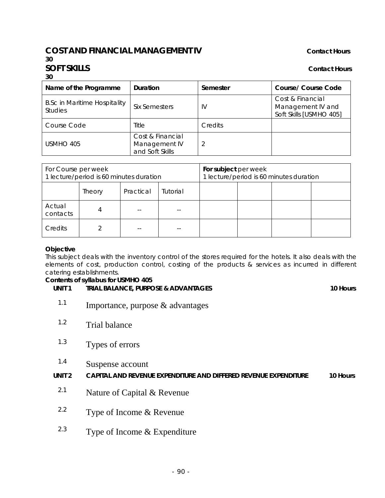# **COST AND FINANCIAL MANAGEMENT IV CONTACT CONTACT HOURS**

#### **SOFT SKILLS** Contact Hours **Contact Hours 30**

**30** 

| Duration<br>Name of the Programme                     |                                                      | Semester | Course/ Course Code                                              |  |
|-------------------------------------------------------|------------------------------------------------------|----------|------------------------------------------------------------------|--|
| <b>B.Sc in Maritime Hospitality</b><br><b>Studies</b> | Six Semesters                                        | IV       | Cost & Financial<br>Management IV and<br>Soft Skills [USMHO 405] |  |
| <b>Course Code</b>                                    | Title                                                | Credits  |                                                                  |  |
| USMHO 405                                             | Cost & Financial<br>Management IV<br>and Soft Skills |          |                                                                  |  |

| For Course per week<br>1 lecture/period is 60 minutes duration |        |           | For subject per week<br>1 lecture/period is 60 minutes duration |  |  |  |  |
|----------------------------------------------------------------|--------|-----------|-----------------------------------------------------------------|--|--|--|--|
|                                                                | Theory | Practical | Tutorial                                                        |  |  |  |  |
| Actual<br>contacts                                             |        |           |                                                                 |  |  |  |  |
| Credits                                                        |        |           |                                                                 |  |  |  |  |

#### **Objective**

This subject deals with the inventory control of the stores required for the hotels. It also deals with the elements of cost, production control, costing of the products & services as incurred in different catering establishments.

### **Contents of syllabus for USMHO 405**

UNIT 1 TRIAL BALANCE, PURPOSE & ADVANTAGES **10 Hours** 

- <sup>1.1</sup> Importance, purpose  $\&$  advantages
- 1.2 Trial balance
- 1.3 Types of errors
- 1.4 Suspense account

**UNIT 2 CAPITAL AND REVENUE EXPENDITURE AND DIFFERED REVENUE EXPENDITURE 10 Hours**

- <sup>2.1</sup> Nature of Capital & Revenue
- 2.2 Type of Income & Revenue
- <sup>2.3</sup> Type of Income  $&$  Expenditure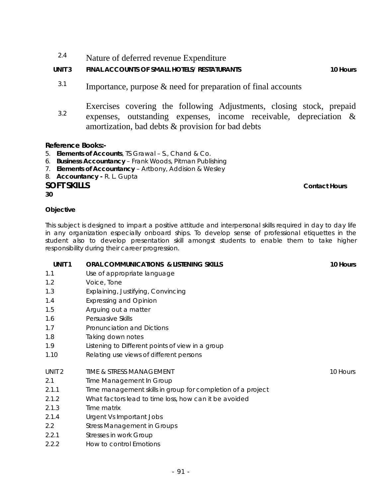<sup>2.4</sup> Nature of deferred revenue Expenditure

# UNIT 3 FINAL ACCOUNTS OF SMALL HOTELS/ RESTATURANTS **10 FINAL ACCOUNTS** 10 Hours

- $3.1$  Importance, purpose & need for preparation of final accounts
- 3.2 Exercises covering the following Adjustments, closing stock, prepaid expenses, outstanding expenses, income receivable, depreciation & amortization, bad debts & provision for bad debts

### **Reference Books:-**

- 5. **Elements of Accounts**, TS Grawal S., Chand & Co.
- 6. **Business Accountancy** Frank Woods, Pitman Publishing
- 7. **Elements of Accountancy** Artbony, Addision & Wesley
- 8. **Accountancy -** R. L. Gupta

### **SOFT SKILLS** Contact Hours **Contact Hours Contact Hours**

**30** 

#### **Objective**

This subject is designed to impart a positive attitude and interpersonal skills required in day to day life in any organization especially onboard ships. To develop sense of professional etiquettes in the student also to develop presentation skill amongst students to enable them to take higher responsibility during their career progression.

| UNIT <sub>1</sub> | ORAL COMMUNICATIONS & LISTENING SKILLS                      | 10 Hours |
|-------------------|-------------------------------------------------------------|----------|
| 1.1               | Use of appropriate language                                 |          |
| 1.2               | Voice, Tone                                                 |          |
| 1.3               | Explaining, Justifying, Convincing                          |          |
| 1.4               | <b>Expressing and Opinion</b>                               |          |
| 1.5               | Arguing out a matter                                        |          |
| 1.6               | Persuasive Skills                                           |          |
| 1.7               | Pronunciation and Dictions                                  |          |
| 1.8               | Taking down notes                                           |          |
| 1.9               | Listening to Different points of view in a group            |          |
| 1.10              | Relating use views of different persons                     |          |
| UNIT <sub>2</sub> | TIME & STRESS MANAGEMENT                                    | 10 Hours |
| 2.1               | Time Management In Group                                    |          |
| 2.1.1             | Time management skills in group for completion of a project |          |
| 2.1.2             | What factors lead to time loss, how can it be avoided       |          |
| 2.1.3             | Time matrix                                                 |          |
| 2.1.4             | Urgent Vs Important Jobs                                    |          |
| $2.2^{\circ}$     | <b>Stress Management in Groups</b>                          |          |
| 2.2.1             | Stresses in work Group                                      |          |
| 2.2.2             | How to control Emotions                                     |          |
|                   |                                                             |          |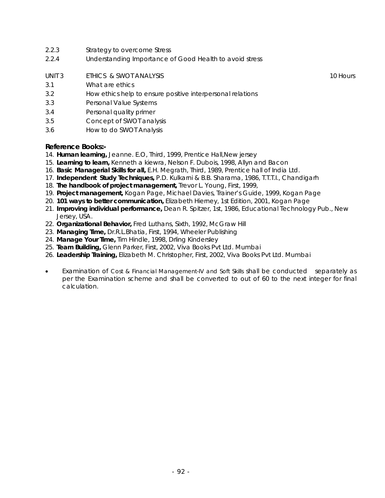- 2.2.3 Strategy to overcome Stress
- 2.2.4 Understanding Importance of Good Health to avoid stress
- UNIT 3 ETHICS & SWOT ANALYSIS 10 Hours 10 Hours
- 3.1 What are ethics
- 3.2 How ethics help to ensure positive interpersonal relations
- 3.3 Personal Value Systems
- 3.4 Personal quality primer
- 3.5 Concept of SWOT analysis
- 3.6 How to do SWOT Analysis

#### **Reference Books:-**

- 14. **Human learning,** Jeanne. E.O, Third, 1999, Prentice Hall,New jersey
- 15. **Learning to learn,** Kenneth a kiewra, Nelson F. Dubois, 1998, Allyn and Bacon
- 16. **Basic Managerial Skills for all,** E.H. Megrath, Third, 1989, Prentice hall of India Ltd.
- 17. **Independent Study Techniques,** P.D. Kulkarni & B.B. Sharama, 1986, T.T.T.I., Chandigarh
- 18. **The handbook of project management,** Trevor L. Young, First, 1999,
- 19. **Project management,** Kogan Page, Michael Davies, Trainer's Guide, 1999, Kogan Page
- 20. **101 ways to better communication,** Elizabeth Hierney, 1st Edition, 2001, Kogan Page
- 21. **Improving individual performance,** Dean R. Spitzer, 1st, 1986, Educational Technology Pub., New Jersey, USA.
- 22. **Organizational Behavior,** Fred Luthans, Sixth, 1992, McGraw Hill
- 23. **Managing Time,** Dr.R.L.Bhatia, First, 1994, Wheeler Publishing
- 24. **Manage Your Time,** Tim Hindle, 1998, Drling Kindersley
- 25. **Team Building,** Glenn Parker, First, 2002, Viva Books Pvt Ltd. Mumbai
- 26. **Leadership Training,** Elizabeth M. Christopher, First, 2002, Viva Books Pvt Ltd. Mumbai
- Examination of Cost & Financial Management-IV and Soft Skills shall be conducted separately as per the Examination scheme and shall be converted to out of 60 to the next integer for final calculation.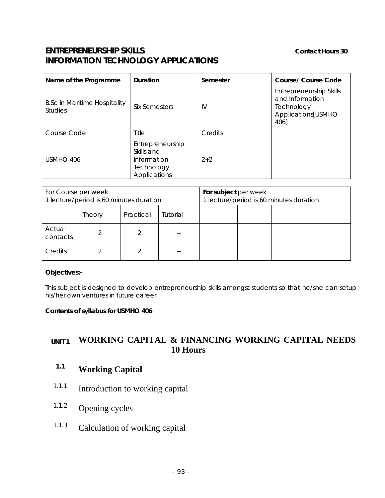# **ENTREPRENEURSHIP SKILLS** Contact Hours 30 **INFORMATION TECHNOLOGY APPLICATIONS**

| Name of the Programme                                                                    | Duration      | Semester | Course/ Course Code                                                                    |  |
|------------------------------------------------------------------------------------------|---------------|----------|----------------------------------------------------------------------------------------|--|
| <b>B.Sc in Maritime Hospitality</b><br><b>Studies</b>                                    | Six Semesters | IV       | Entrepreneurship Skills<br>and Information<br>Technology<br>Applications[USMHO<br>406] |  |
| Course Code                                                                              | Title         | Credits  |                                                                                        |  |
| Entrepreneurship<br>Skills and<br>USMHO 406<br>Information<br>Technology<br>Applications |               | $2+2$    |                                                                                        |  |

| For Course per week<br>1 lecture/period is 60 minutes duration |        |           | For subject per week<br>1 lecture/period is 60 minutes duration |  |  |  |  |
|----------------------------------------------------------------|--------|-----------|-----------------------------------------------------------------|--|--|--|--|
|                                                                | Theory | Practical | Tutorial                                                        |  |  |  |  |
| Actual<br>contacts                                             |        |           |                                                                 |  |  |  |  |
| Credits                                                        |        |           |                                                                 |  |  |  |  |

#### **Objectives:-**

This subject is designed to develop entrepreneurship skills amongst students so that he/she can setup his/her own ventures in future career.

#### **Contents of syllabus for USMHO 406**

# **UNIT 1 WORKING CAPITAL & FINANCING WORKING CAPITAL NEEDS 10 Hours**

# **1.1 Working Capital**

- 1.1.1 Introduction to working capital
- 1.1.2 Opening cycles
- 1.1.3 Calculation of working capital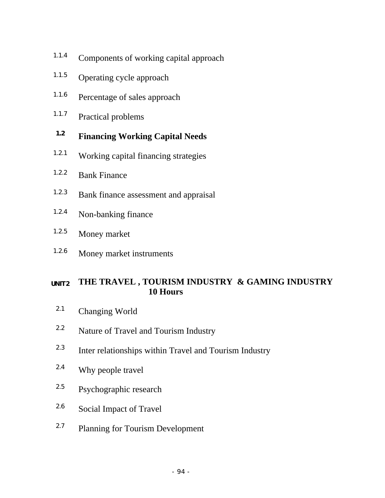- 1.1.4 Components of working capital approach
- 1.1.5 Operating cycle approach
- 1.1.6 Percentage of sales approach
- 1.1.7 Practical problems

# **1.2 Financing Working Capital Needs**

- 1.2.1 Working capital financing strategies
- 1.2.2 Bank Finance
- 1.2.3 Bank finance assessment and appraisal
- 1.2.4 Non-banking finance
- 1.2.5 Money market
- 1.2.6 Money market instruments

# **UNIT 2 THE TRAVEL , TOURISM INDUSTRY & GAMING INDUSTRY 10 Hours**

- 2.1 Changing World
- <sup>2.2</sup> Nature of Travel and Tourism Industry
- 2.3 Inter relationships within Travel and Tourism Industry
- 2.4 Why people travel
- 2.5 Psychographic research
- 2.6 Social Impact of Travel
- 2.7 Planning for Tourism Development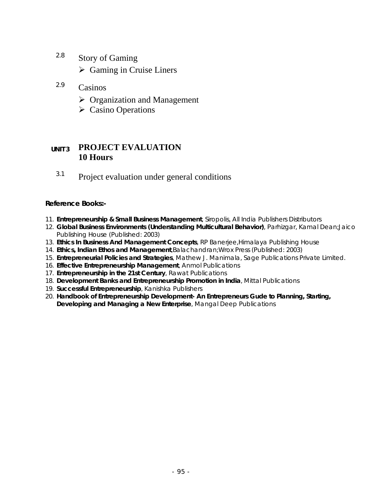- 2.8 Story of Gaming
	- $\triangleright$  Gaming in Cruise Liners
- 2.9 Casinos
	- $\triangleright$  Organization and Management
	- $\triangleright$  Casino Operations

# **UNIT 3 PROJECT EVALUATION 10 Hours**

<sup>3.1</sup> Project evaluation under general conditions

### **Reference Books:-**

- 11. **Entrepreneurship & Small Business Management**, Siropolis, All India Publishers Distributors
- 12. **Global Business Environments (Understanding Multicultural Behavior)**, Parhizgar, Kamal Dean;Jaico Publishing House (Published: 2003)
- 13. **Ethics In Business And Management Concepts**, RP Banerjee,Himalaya Publishing House
- 14. **Ethics, Indian Ethos and Management**,Balachandran;Wrox Press (Published: 2003)
- 15. **Entrepreneurial Policies and Strategies**, Mathew J. Manimala, Sage Publications Private Limited.
- 16. **Effective Entrepreneurship Management**, Anmol Publications
- 17. **Entrepreneurship in the 21st Century**, Rawat Publications
- 18. **Development Banks and Entrepreneurship Promotion in India**, Mittal Publications
- 19. **Successful Entrepreneurship**, Kanishka Publishers
- 20. **Handbook of Entrepreneurship Development- An Entrepreneurs Gude to Planning, Starting, Developing and Managing a New Enterprise**, Mangal Deep Publications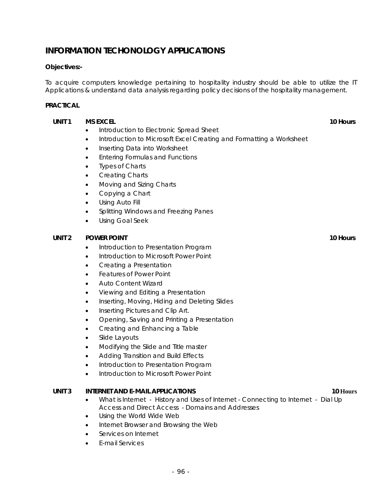# **INFORMATION TECHONOLOGY APPLICATIONS**

#### **Objectives:-**

To acquire computers knowledge pertaining to hospitality industry should be able to utilize the IT Applications & understand data analysis regarding policy decisions of the hospitality management.

#### **PRACTICAL**

#### **UNIT 1 MS EXCEL 20 Hours 10 Hours 10 Hours**

- Introduction to Electronic Spread Sheet
- Introduction to Microsoft Excel Creating and Formatting a Worksheet
- Inserting Data into Worksheet
- Entering Formulas and Functions
- **Types of Charts**
- Creating Charts
- Moving and Sizing Charts
- Copying a Chart
- Using Auto Fill
- Splitting Windows and Freezing Panes
- Using Goal Seek

#### **UNIT 2 POWER POINT 2** POWER POINT

- Introduction to Presentation Program
- Introduction to Microsoft Power Point
- Creating a Presentation
- Features of Power Point
- Auto Content Wizard
- Viewing and Editing a Presentation
- Inserting, Moving, Hiding and Deleting Slides
- Inserting Pictures and Clip Art.
- Opening, Saving and Printing a Presentation
- Creating and Enhancing a Table
- Slide Layouts
- Modifying the Slide and Title master
- Adding Transition and Build Effects
- Introduction to Presentation Program
- Introduction to Microsoft Power Point

#### **UNIT 3** INTERNET AND E-MAIL APPLICATIONS **10** Hours 10 Hours

- What is Internet History and Uses of Internet Connecting to Internet Dial Up Access and Direct Access - Domains and Addresses
- Using the World Wide Web
- Internet Browser and Browsing the Web
- Services on Internet
- E-mail Services